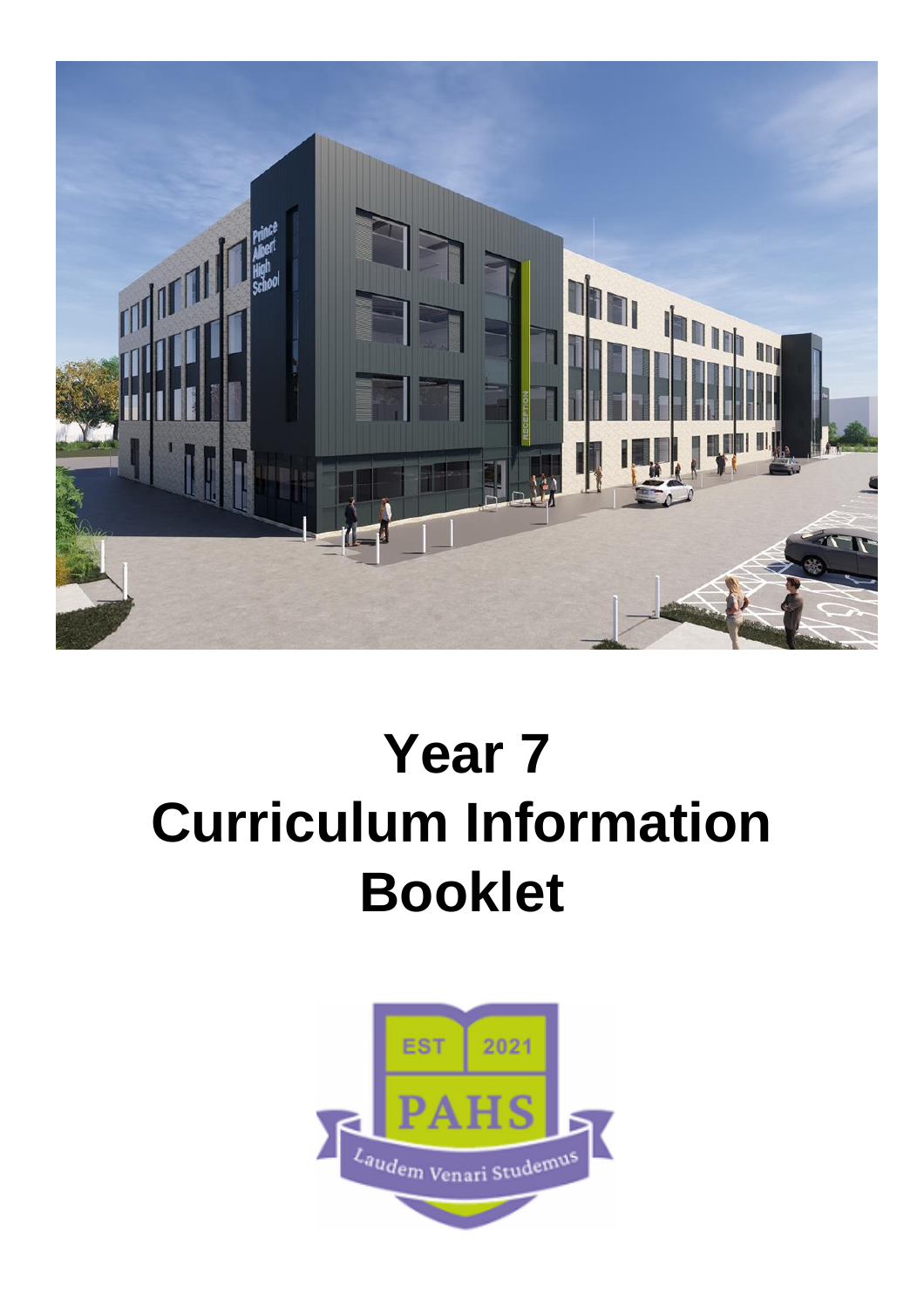

# **Year 7 Curriculum Information Booklet**

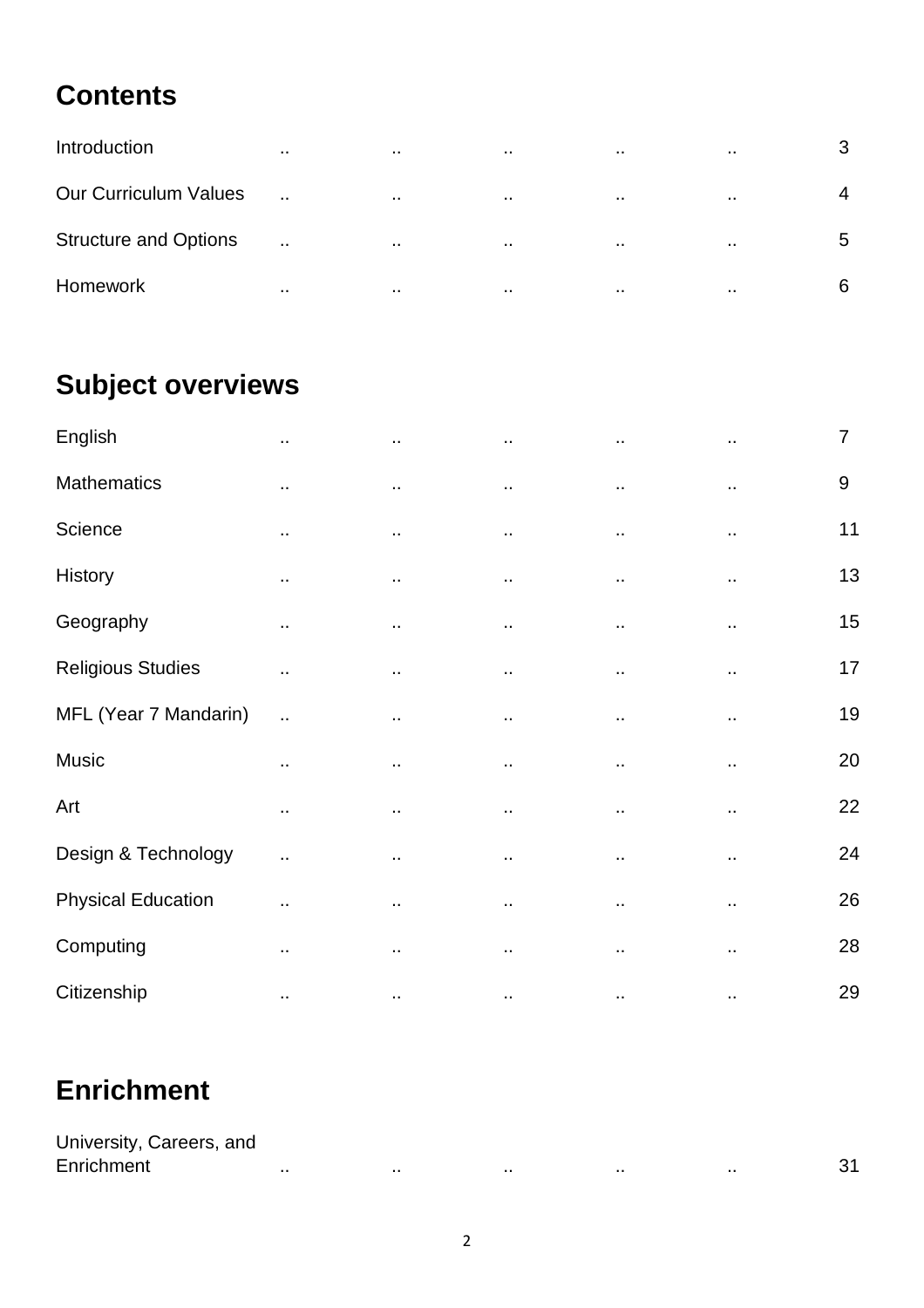# **Contents**

| Introduction                 | $\sim$               | $\cdot$ . | $\sim$               | $\sim$        | $\sim$ | 3 |
|------------------------------|----------------------|-----------|----------------------|---------------|--------|---|
| <b>Our Curriculum Values</b> | $\ddotsc$            | . .       | $\cdot$ .            | . .           | $\sim$ | 4 |
| <b>Structure and Options</b> | $\ddot{\phantom{a}}$ | . .       | $\cdot$ .            | $\cdots$      | $\sim$ | 5 |
| <b>Homework</b>              | $\sim$               |           | $\ddot{\phantom{a}}$ | $\sim$ $\sim$ | $\sim$ | 6 |

# **Subject overviews**

| English                   | $\sim$               | $\sim$               | $\sim$               | $\ddot{\phantom{1}}$ | ., | $\overline{7}$ |
|---------------------------|----------------------|----------------------|----------------------|----------------------|----|----------------|
| <b>Mathematics</b>        | ٠.                   | ٠.                   | $\ddot{\phantom{1}}$ | $\sim$               | Ω, | $9\,$          |
| Science                   | ٠.                   | .,                   | $\ddot{\phantom{a}}$ | .,                   | Ω, | 11             |
| History                   | ٠.                   | ٠.                   | $\ddot{\phantom{1}}$ | ٠.                   | Ω, | 13             |
| Geography                 | Ω.                   | $\ddotsc$            | ٠.                   | .,                   |    | 15             |
| <b>Religious Studies</b>  | Ω.                   | Ω.                   | $\ddot{\phantom{a}}$ | Ω.                   | Ω, | 17             |
| MFL (Year 7 Mandarin)     | $\ddot{\phantom{a}}$ | Ω.                   | $\ddotsc$            | $\ddot{\phantom{0}}$ | ٠. | 19             |
| Music                     | $\sim$               | $\ddot{\phantom{1}}$ | $\sim$               | $\ddot{\phantom{1}}$ | ٠. | 20             |
| Art                       | ٠.                   | $\ddot{\phantom{1}}$ | $\sim$               | $\ddot{\phantom{1}}$ | ٠. | 22             |
| Design & Technology       | Ω.                   | .,                   | $\ddot{\phantom{1}}$ | $\ddot{\phantom{1}}$ |    | 24             |
| <b>Physical Education</b> | ٠.                   | ٠.                   | ٠.                   | ٠.                   | ٠. | 26             |
| Computing                 | ٠.                   | $\sim$               | $\cdot$ .            | ٠.                   | ., | 28             |
| Citizenship               | ٠.                   | $\ddot{\phantom{a}}$ |                      |                      | ٠. | 29             |

# **Enrichment**

| University, Careers, and |      |     |      |  |
|--------------------------|------|-----|------|--|
| Enrichment               | <br> | . . | <br> |  |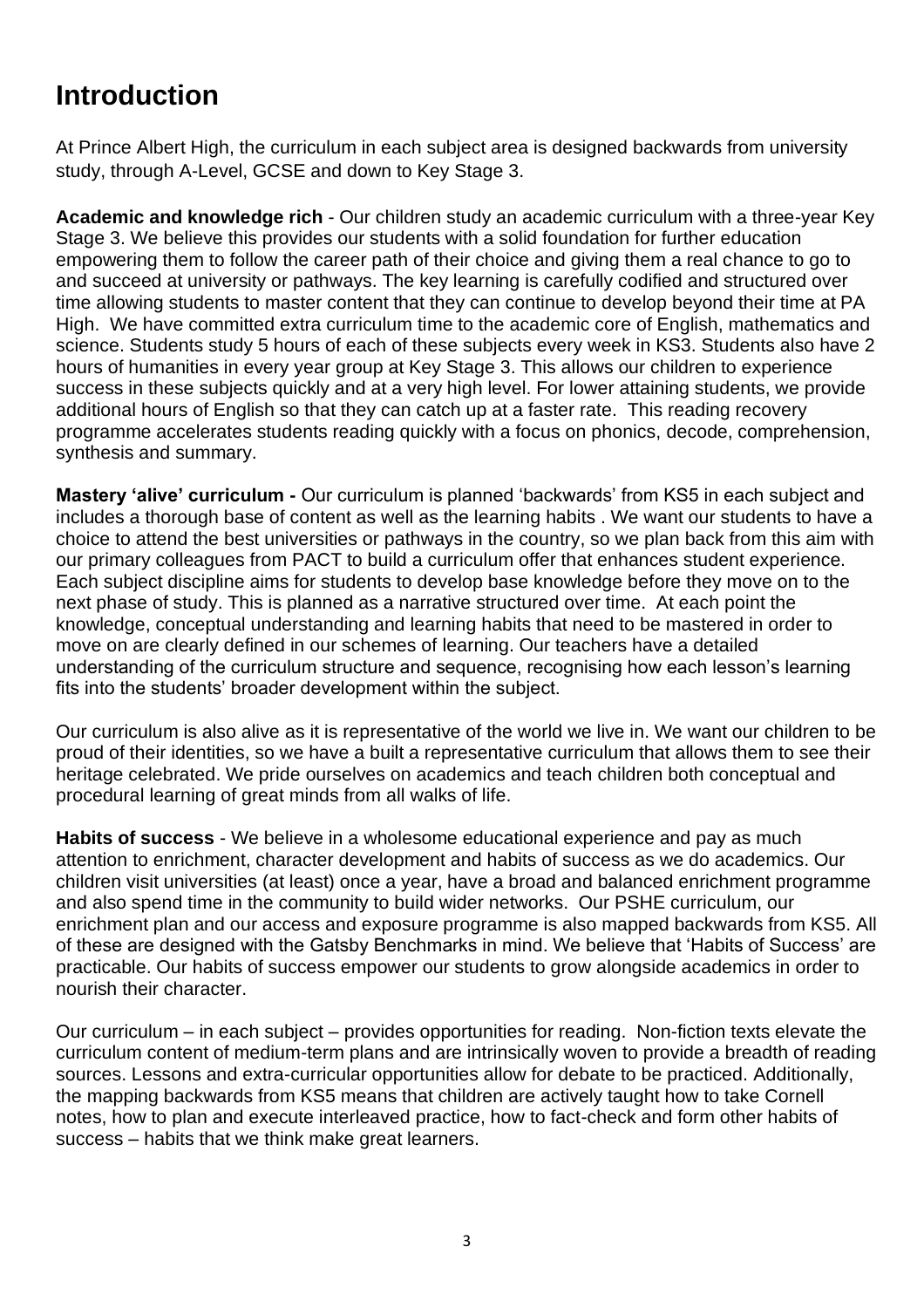# **Introduction**

At Prince Albert High, the curriculum in each subject area is designed backwards from university study, through A-Level, GCSE and down to Key Stage 3.

**Academic and knowledge rich** - Our children study an academic curriculum with a three-year Key Stage 3. We believe this provides our students with a solid foundation for further education empowering them to follow the career path of their choice and giving them a real chance to go to and succeed at university or pathways. The key learning is carefully codified and structured over time allowing students to master content that they can continue to develop beyond their time at PA High. We have committed extra curriculum time to the academic core of English, mathematics and science. Students study 5 hours of each of these subjects every week in KS3. Students also have 2 hours of humanities in every year group at Key Stage 3. This allows our children to experience success in these subjects quickly and at a very high level. For lower attaining students, we provide additional hours of English so that they can catch up at a faster rate. This reading recovery programme accelerates students reading quickly with a focus on phonics, decode, comprehension, synthesis and summary.

**Mastery 'alive' curriculum -** Our curriculum is planned 'backwards' from KS5 in each subject and includes a thorough base of content as well as the learning habits . We want our students to have a choice to attend the best universities or pathways in the country, so we plan back from this aim with our primary colleagues from PACT to build a curriculum offer that enhances student experience. Each subject discipline aims for students to develop base knowledge before they move on to the next phase of study. This is planned as a narrative structured over time. At each point the knowledge, conceptual understanding and learning habits that need to be mastered in order to move on are clearly defined in our schemes of learning. Our teachers have a detailed understanding of the curriculum structure and sequence, recognising how each lesson's learning fits into the students' broader development within the subject.

Our curriculum is also alive as it is representative of the world we live in. We want our children to be proud of their identities, so we have a built a representative curriculum that allows them to see their heritage celebrated. We pride ourselves on academics and teach children both conceptual and procedural learning of great minds from all walks of life.

**Habits of success** - We believe in a wholesome educational experience and pay as much attention to enrichment, character development and habits of success as we do academics. Our children visit universities (at least) once a year, have a broad and balanced enrichment programme and also spend time in the community to build wider networks. Our PSHE curriculum, our enrichment plan and our access and exposure programme is also mapped backwards from KS5. All of these are designed with the Gatsby Benchmarks in mind. We believe that 'Habits of Success' are practicable. Our habits of success empower our students to grow alongside academics in order to nourish their character.

Our curriculum – in each subject – provides opportunities for reading. Non-fiction texts elevate the curriculum content of medium-term plans and are intrinsically woven to provide a breadth of reading sources. Lessons and extra-curricular opportunities allow for debate to be practiced. Additionally, the mapping backwards from KS5 means that children are actively taught how to take Cornell notes, how to plan and execute interleaved practice, how to fact-check and form other habits of success – habits that we think make great learners.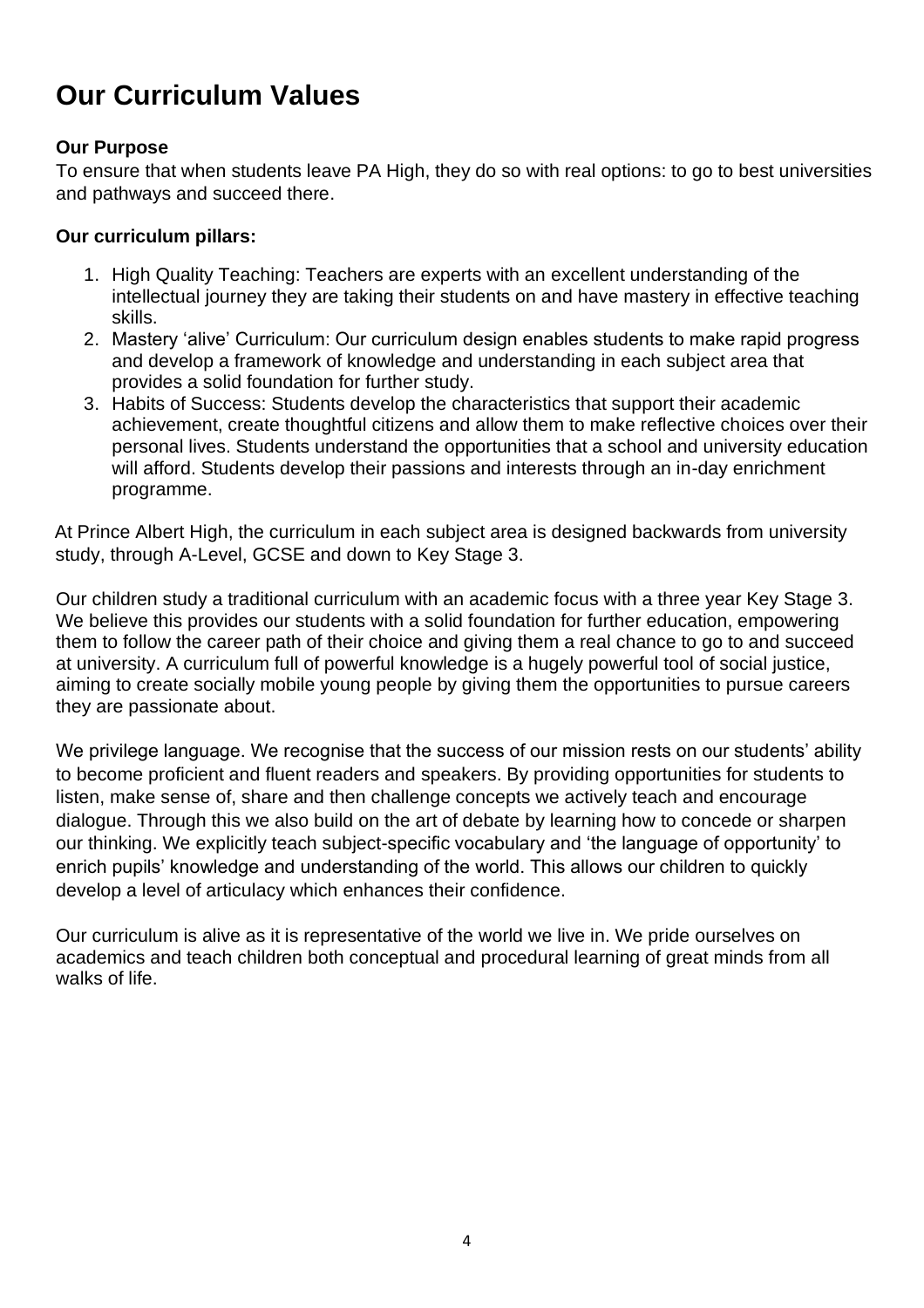# **Our Curriculum Values**

### **Our Purpose**

To ensure that when students leave PA High, they do so with real options: to go to best universities and pathways and succeed there.

### **Our curriculum pillars:**

- 1. High Quality Teaching: Teachers are experts with an excellent understanding of the intellectual journey they are taking their students on and have mastery in effective teaching skills.
- 2. Mastery 'alive' Curriculum: Our curriculum design enables students to make rapid progress and develop a framework of knowledge and understanding in each subject area that provides a solid foundation for further study.
- 3. Habits of Success: Students develop the characteristics that support their academic achievement, create thoughtful citizens and allow them to make reflective choices over their personal lives. Students understand the opportunities that a school and university education will afford. Students develop their passions and interests through an in-day enrichment programme.

At Prince Albert High, the curriculum in each subject area is designed backwards from university study, through A-Level, GCSE and down to Key Stage 3.

Our children study a traditional curriculum with an academic focus with a three year Key Stage 3. We believe this provides our students with a solid foundation for further education, empowering them to follow the career path of their choice and giving them a real chance to go to and succeed at university. A curriculum full of powerful knowledge is a hugely powerful tool of social justice, aiming to create socially mobile young people by giving them the opportunities to pursue careers they are passionate about.

We privilege language. We recognise that the success of our mission rests on our students' ability to become proficient and fluent readers and speakers. By providing opportunities for students to listen, make sense of, share and then challenge concepts we actively teach and encourage dialogue. Through this we also build on the art of debate by learning how to concede or sharpen our thinking. We explicitly teach subject-specific vocabulary and 'the language of opportunity' to enrich pupils' knowledge and understanding of the world. This allows our children to quickly develop a level of articulacy which enhances their confidence.

Our curriculum is alive as it is representative of the world we live in. We pride ourselves on academics and teach children both conceptual and procedural learning of great minds from all walks of life.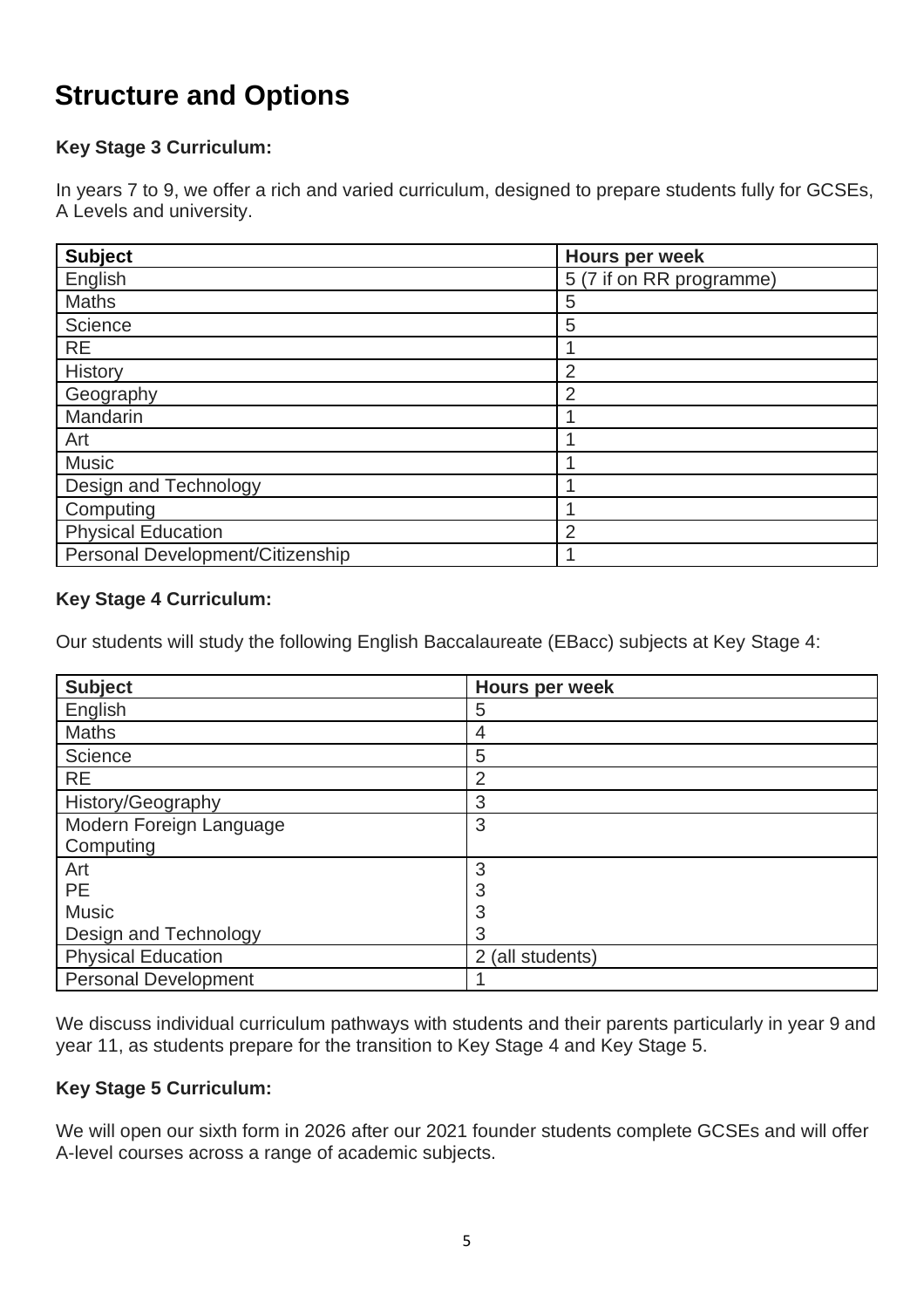# **Structure and Options**

### **Key Stage 3 Curriculum:**

In years 7 to 9, we offer a rich and varied curriculum, designed to prepare students fully for GCSEs, A Levels and university.

| <b>Subject</b>                   | Hours per week           |
|----------------------------------|--------------------------|
| English                          | 5 (7 if on RR programme) |
| <b>Maths</b>                     | 5                        |
| Science                          | 5                        |
| <b>RE</b>                        |                          |
| History                          | $\overline{2}$           |
| Geography                        | $\overline{2}$           |
| Mandarin                         |                          |
| Art                              |                          |
| <b>Music</b>                     |                          |
| Design and Technology            |                          |
| Computing                        |                          |
| <b>Physical Education</b>        | $\overline{2}$           |
| Personal Development/Citizenship |                          |

#### **Key Stage 4 Curriculum:**

Our students will study the following English Baccalaureate (EBacc) subjects at Key Stage 4:

| <b>Subject</b>              | Hours per week   |
|-----------------------------|------------------|
| English                     | 5                |
| <b>Maths</b>                | 4                |
| Science                     | 5                |
| <b>RE</b>                   | $\overline{2}$   |
| History/Geography           | 3                |
| Modern Foreign Language     | 3                |
| Computing                   |                  |
| Art                         | 3                |
| <b>PE</b>                   | 3                |
| <b>Music</b>                | 3                |
| Design and Technology       | 3                |
| <b>Physical Education</b>   | 2 (all students) |
| <b>Personal Development</b> |                  |

We discuss individual curriculum pathways with students and their parents particularly in year 9 and year 11, as students prepare for the transition to Key Stage 4 and Key Stage 5.

### **Key Stage 5 Curriculum:**

We will open our sixth form in 2026 after our 2021 founder students complete GCSEs and will offer A-level courses across a range of academic subjects.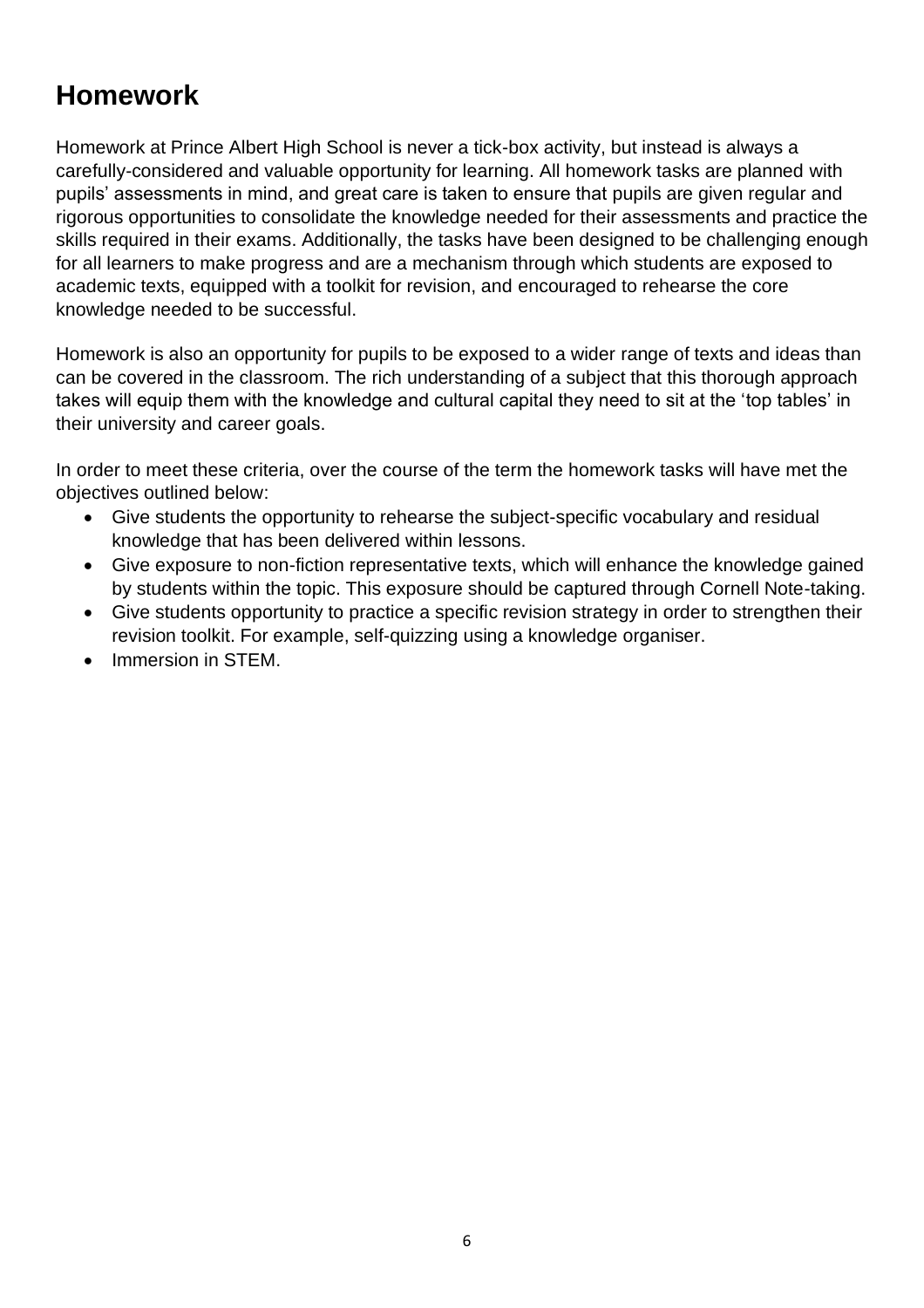# **Homework**

Homework at Prince Albert High School is never a tick-box activity, but instead is always a carefully-considered and valuable opportunity for learning. All homework tasks are planned with pupils' assessments in mind, and great care is taken to ensure that pupils are given regular and rigorous opportunities to consolidate the knowledge needed for their assessments and practice the skills required in their exams. Additionally, the tasks have been designed to be challenging enough for all learners to make progress and are a mechanism through which students are exposed to academic texts, equipped with a toolkit for revision, and encouraged to rehearse the core knowledge needed to be successful.

Homework is also an opportunity for pupils to be exposed to a wider range of texts and ideas than can be covered in the classroom. The rich understanding of a subject that this thorough approach takes will equip them with the knowledge and cultural capital they need to sit at the 'top tables' in their university and career goals.

In order to meet these criteria, over the course of the term the homework tasks will have met the objectives outlined below:

- Give students the opportunity to rehearse the subject-specific vocabulary and residual knowledge that has been delivered within lessons.
- Give exposure to non-fiction representative texts, which will enhance the knowledge gained by students within the topic. This exposure should be captured through Cornell Note-taking.
- Give students opportunity to practice a specific revision strategy in order to strengthen their revision toolkit. For example, self-quizzing using a knowledge organiser.
- Immersion in STFM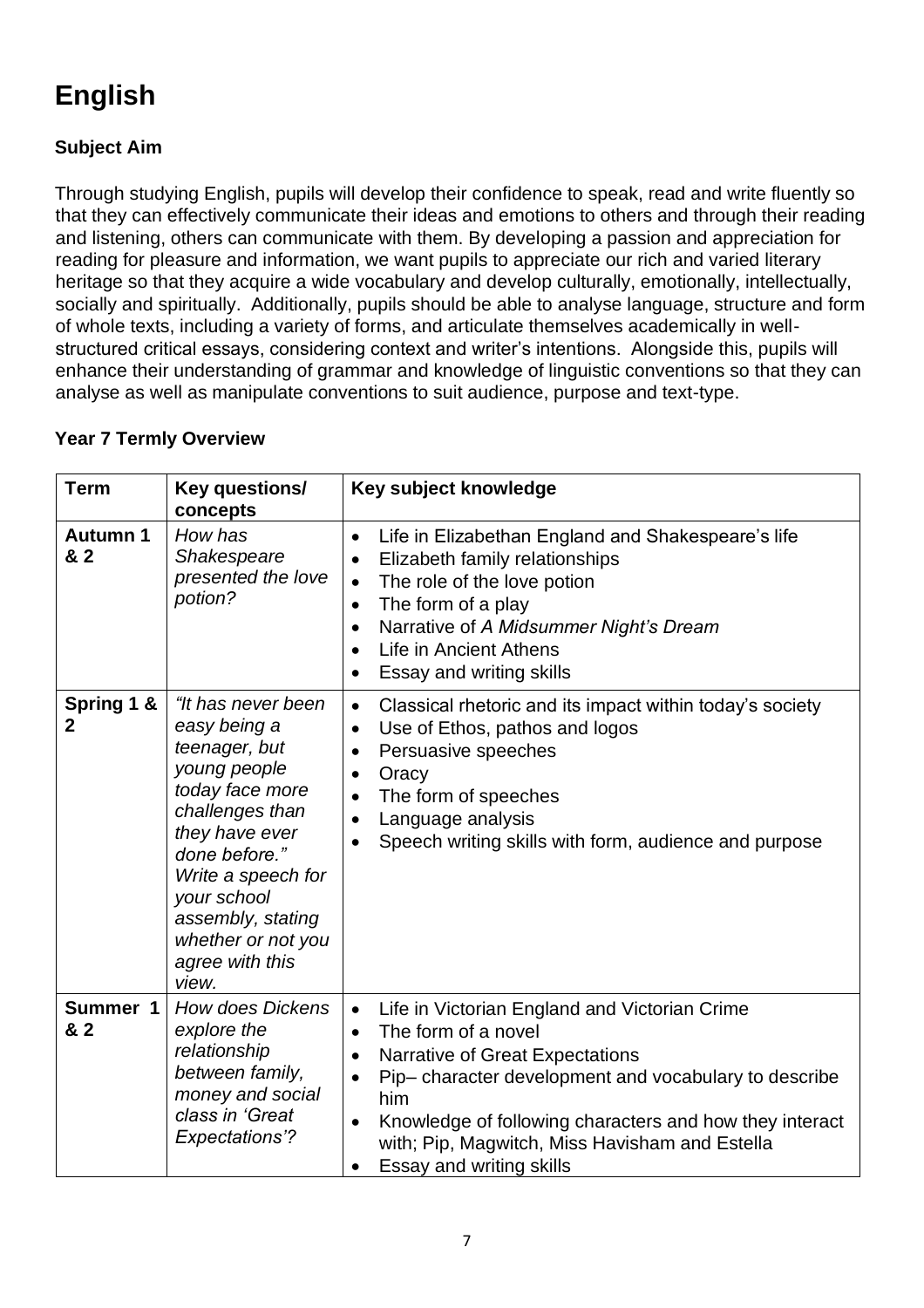# **English**

# **Subject Aim**

Through studying English, pupils will develop their confidence to speak, read and write fluently so that they can effectively communicate their ideas and emotions to others and through their reading and listening, others can communicate with them. By developing a passion and appreciation for reading for pleasure and information, we want pupils to appreciate our rich and varied literary heritage so that they acquire a wide vocabulary and develop culturally, emotionally, intellectually, socially and spiritually. Additionally, pupils should be able to analyse language, structure and form of whole texts, including a variety of forms, and articulate themselves academically in wellstructured critical essays, considering context and writer's intentions. Alongside this, pupils will enhance their understanding of grammar and knowledge of linguistic conventions so that they can analyse as well as manipulate conventions to suit audience, purpose and text-type.

|  |  |  | <b>Year 7 Termly Overview</b> |
|--|--|--|-------------------------------|
|--|--|--|-------------------------------|

| <b>Term</b>               | Key questions/<br>concepts                                                                                                                                                                                                                               | Key subject knowledge                                                                                                                                                                                                                                                                                                                                  |
|---------------------------|----------------------------------------------------------------------------------------------------------------------------------------------------------------------------------------------------------------------------------------------------------|--------------------------------------------------------------------------------------------------------------------------------------------------------------------------------------------------------------------------------------------------------------------------------------------------------------------------------------------------------|
| <b>Autumn 1</b><br>& 2    | How has<br>Shakespeare<br>presented the love<br>potion?                                                                                                                                                                                                  | Life in Elizabethan England and Shakespeare's life<br>$\bullet$<br>Elizabeth family relationships<br>The role of the love potion<br>$\bullet$<br>The form of a play<br>$\bullet$<br>Narrative of A Midsummer Night's Dream<br>$\bullet$<br>Life in Ancient Athens<br>$\bullet$<br>Essay and writing skills<br>$\bullet$                                |
| Spring 1 &<br>$\mathbf 2$ | "It has never been<br>easy being a<br>teenager, but<br>young people<br>today face more<br>challenges than<br>they have ever<br>done before."<br>Write a speech for<br>your school<br>assembly, stating<br>whether or not you<br>agree with this<br>view. | Classical rhetoric and its impact within today's society<br>$\bullet$<br>Use of Ethos, pathos and logos<br>$\bullet$<br>Persuasive speeches<br>$\bullet$<br>Oracy<br>$\bullet$<br>The form of speeches<br>$\bullet$<br>Language analysis<br>Speech writing skills with form, audience and purpose                                                      |
| Summer 1<br>& 2           | <b>How does Dickens</b><br>explore the<br>relationship<br>between family,<br>money and social<br>class in 'Great<br><b>Expectations'?</b>                                                                                                                | Life in Victorian England and Victorian Crime<br>The form of a novel<br>$\bullet$<br>Narrative of Great Expectations<br>$\bullet$<br>Pip-character development and vocabulary to describe<br>him<br>Knowledge of following characters and how they interact<br>$\bullet$<br>with; Pip, Magwitch, Miss Havisham and Estella<br>Essay and writing skills |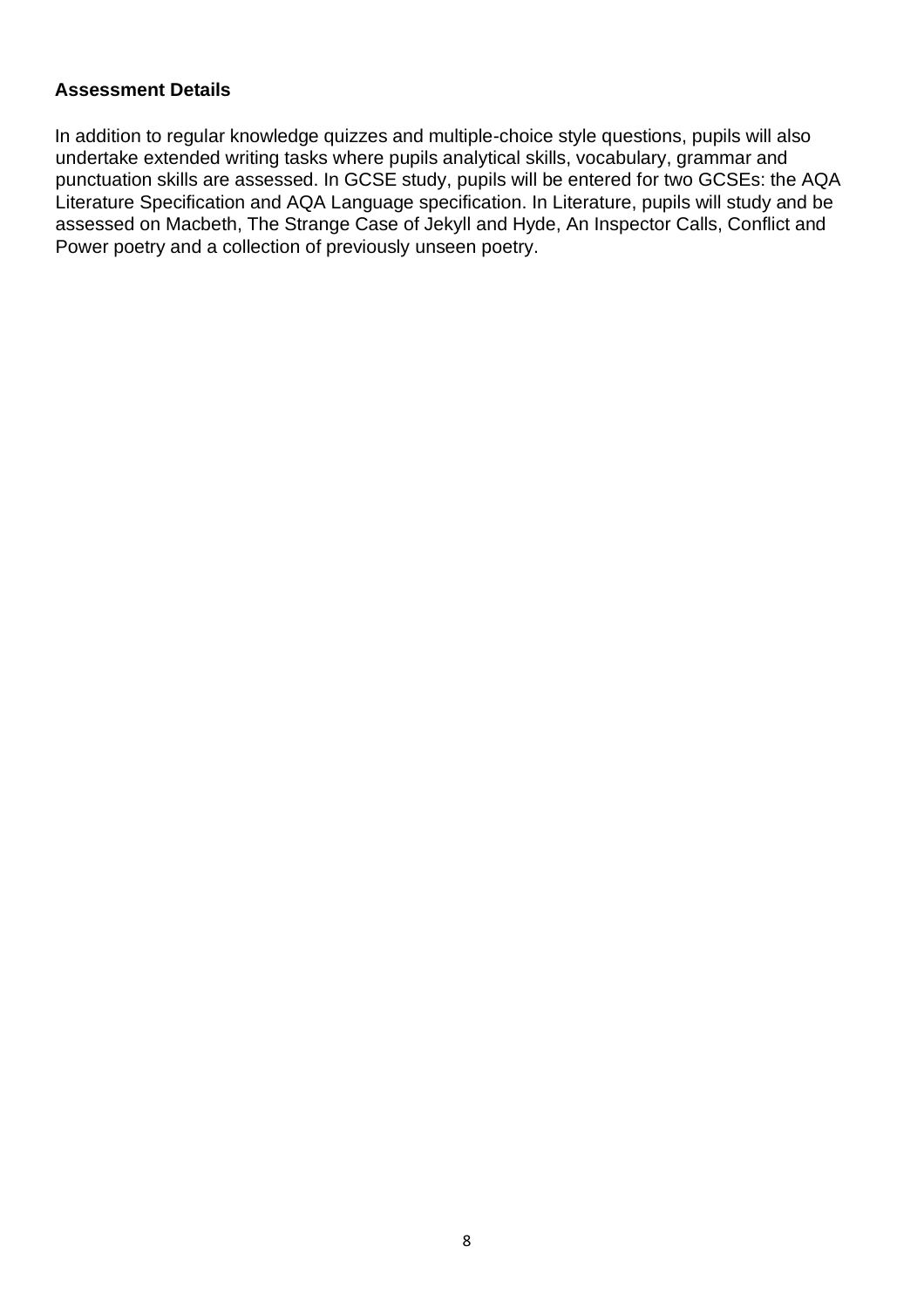In addition to regular knowledge quizzes and multiple-choice style questions, pupils will also undertake extended writing tasks where pupils analytical skills, vocabulary, grammar and punctuation skills are assessed. In GCSE study, pupils will be entered for two GCSEs: the AQA Literature Specification and AQA Language specification. In Literature, pupils will study and be assessed on Macbeth, The Strange Case of Jekyll and Hyde, An Inspector Calls, Conflict and Power poetry and a collection of previously unseen poetry.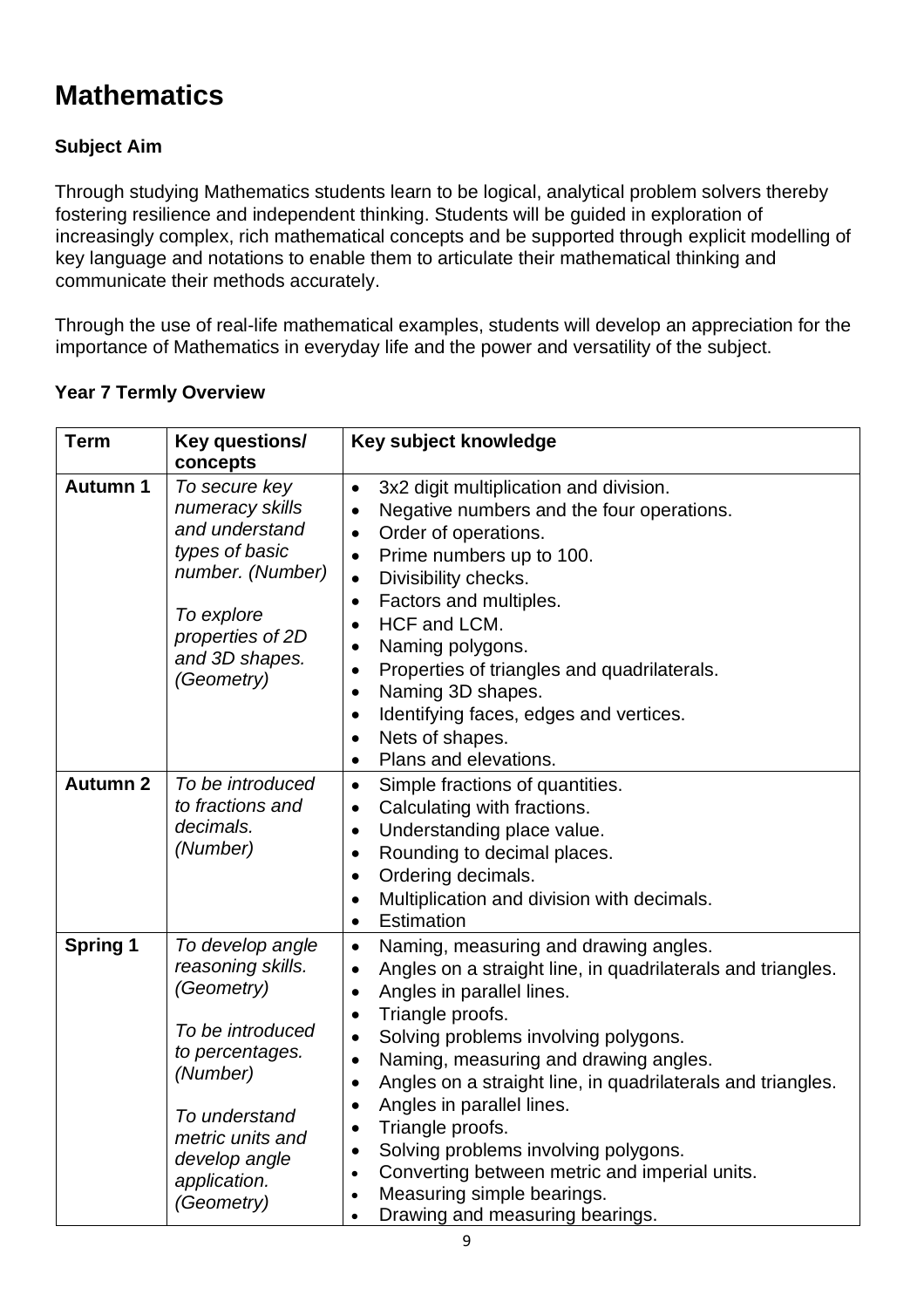# **Mathematics**

# **Subject Aim**

Through studying Mathematics students learn to be logical, analytical problem solvers thereby fostering resilience and independent thinking. Students will be guided in exploration of increasingly complex, rich mathematical concepts and be supported through explicit modelling of key language and notations to enable them to articulate their mathematical thinking and communicate their methods accurately.

Through the use of real-life mathematical examples, students will develop an appreciation for the importance of Mathematics in everyday life and the power and versatility of the subject.

| <b>Term</b>     | Key questions/<br>concepts                                                                                                                                                                 | Key subject knowledge                                                                                                                                                                                                                                                                                                                                                                                                                                                                                                                                                                                                                     |
|-----------------|--------------------------------------------------------------------------------------------------------------------------------------------------------------------------------------------|-------------------------------------------------------------------------------------------------------------------------------------------------------------------------------------------------------------------------------------------------------------------------------------------------------------------------------------------------------------------------------------------------------------------------------------------------------------------------------------------------------------------------------------------------------------------------------------------------------------------------------------------|
| <b>Autumn 1</b> | To secure key<br>numeracy skills<br>and understand<br>types of basic<br>number. (Number)<br>To explore<br>properties of 2D<br>and 3D shapes.<br>(Geometry)                                 | 3x2 digit multiplication and division.<br>$\bullet$<br>Negative numbers and the four operations.<br>$\bullet$<br>Order of operations.<br>$\bullet$<br>Prime numbers up to 100.<br>$\bullet$<br>Divisibility checks.<br>$\bullet$<br>Factors and multiples.<br>$\bullet$<br>HCF and LCM.<br>$\bullet$<br>Naming polygons.<br>$\bullet$<br>Properties of triangles and quadrilaterals.<br>$\bullet$<br>Naming 3D shapes.<br>$\bullet$<br>Identifying faces, edges and vertices.<br>$\bullet$<br>Nets of shapes.<br>$\bullet$<br>Plans and elevations.<br>$\bullet$                                                                          |
| <b>Autumn 2</b> | To be introduced<br>to fractions and<br>decimals.<br>(Number)                                                                                                                              | Simple fractions of quantities.<br>$\bullet$<br>Calculating with fractions.<br>$\bullet$<br>Understanding place value.<br>$\bullet$<br>Rounding to decimal places.<br>$\bullet$<br>Ordering decimals.<br>$\bullet$<br>Multiplication and division with decimals.<br>$\bullet$<br>Estimation<br>$\bullet$                                                                                                                                                                                                                                                                                                                                  |
| <b>Spring 1</b> | To develop angle<br>reasoning skills.<br>(Geometry)<br>To be introduced<br>to percentages.<br>(Number)<br>To understand<br>metric units and<br>develop angle<br>application.<br>(Geometry) | Naming, measuring and drawing angles.<br>$\bullet$<br>Angles on a straight line, in quadrilaterals and triangles.<br>$\bullet$<br>Angles in parallel lines.<br>$\bullet$<br>Triangle proofs.<br>$\bullet$<br>Solving problems involving polygons.<br>$\bullet$<br>Naming, measuring and drawing angles.<br>$\bullet$<br>Angles on a straight line, in quadrilaterals and triangles.<br>$\bullet$<br>Angles in parallel lines.<br>$\bullet$<br>Triangle proofs.<br>$\bullet$<br>Solving problems involving polygons.<br>$\bullet$<br>Converting between metric and imperial units.<br>$\bullet$<br>Measuring simple bearings.<br>$\bullet$ |

### **Year 7 Termly Overview**

• Drawing and measuring bearings.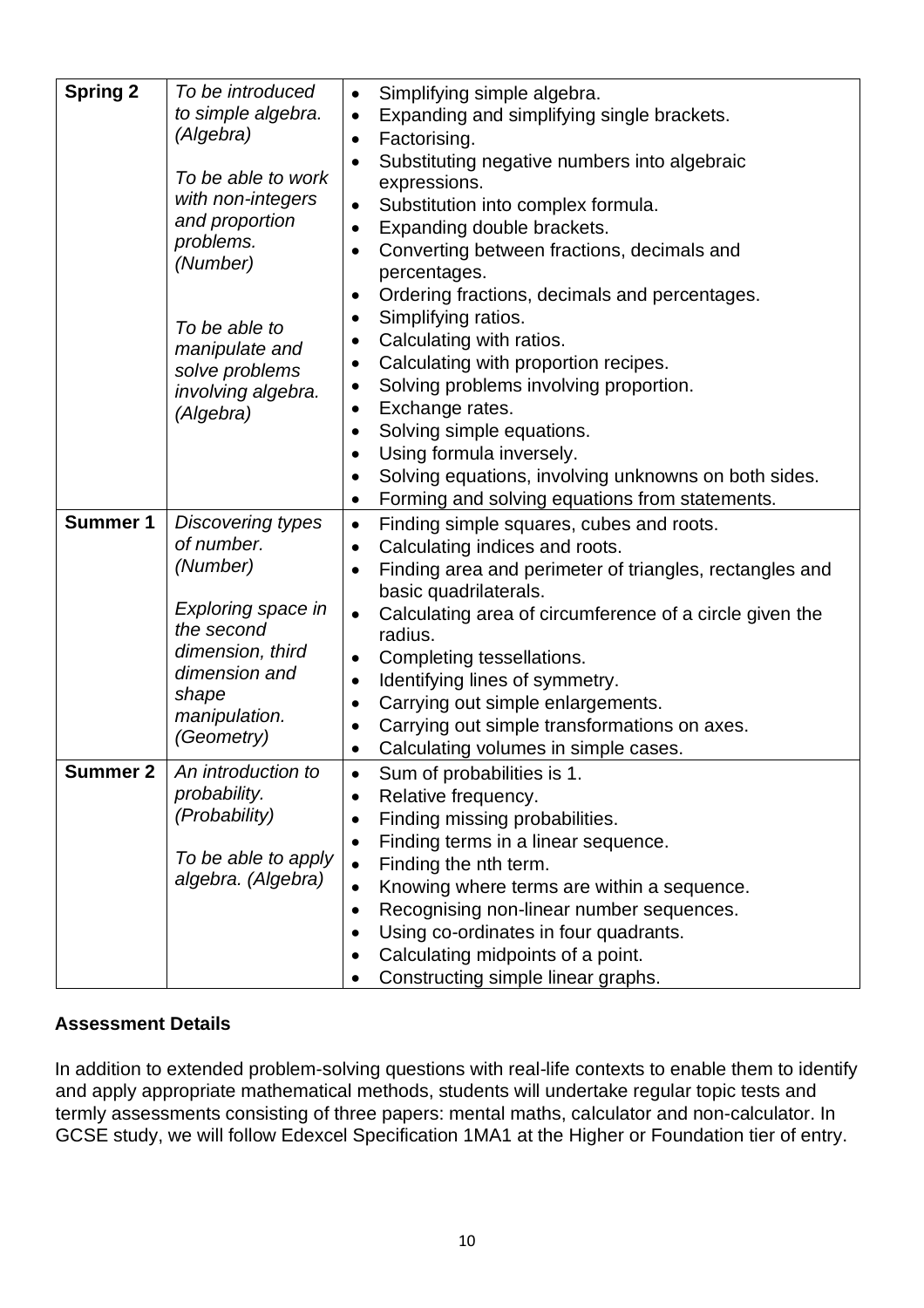| <b>Spring 2</b>                    | To be introduced<br>to simple algebra.<br>(Algebra)<br>To be able to work<br>with non-integers<br>and proportion<br>problems.<br>(Number)<br>To be able to<br>manipulate and<br>solve problems<br>involving algebra.<br>(Algebra)                                       | Simplifying simple algebra.<br>$\bullet$<br>Expanding and simplifying single brackets.<br>$\bullet$<br>Factorising.<br>$\bullet$<br>Substituting negative numbers into algebraic<br>$\bullet$<br>expressions.<br>Substitution into complex formula.<br>Expanding double brackets.<br>$\bullet$<br>Converting between fractions, decimals and<br>percentages.<br>Ordering fractions, decimals and percentages.<br>$\bullet$<br>Simplifying ratios.<br>$\bullet$<br>Calculating with ratios.<br>$\bullet$<br>Calculating with proportion recipes.<br>$\bullet$<br>Solving problems involving proportion.<br>$\bullet$<br>Exchange rates.<br>$\bullet$<br>Solving simple equations.<br>$\bullet$<br>Using formula inversely.<br>$\bullet$<br>Solving equations, involving unknowns on both sides.<br>$\bullet$<br>Forming and solving equations from statements.<br>$\bullet$                                                                                                          |
|------------------------------------|-------------------------------------------------------------------------------------------------------------------------------------------------------------------------------------------------------------------------------------------------------------------------|-------------------------------------------------------------------------------------------------------------------------------------------------------------------------------------------------------------------------------------------------------------------------------------------------------------------------------------------------------------------------------------------------------------------------------------------------------------------------------------------------------------------------------------------------------------------------------------------------------------------------------------------------------------------------------------------------------------------------------------------------------------------------------------------------------------------------------------------------------------------------------------------------------------------------------------------------------------------------------------|
| <b>Summer 1</b><br><b>Summer 2</b> | <b>Discovering types</b><br>of number.<br>(Number)<br>Exploring space in<br>the second<br>dimension, third<br>dimension and<br>shape<br>manipulation.<br>(Geometry)<br>An introduction to<br>probability.<br>(Probability)<br>To be able to apply<br>algebra. (Algebra) | Finding simple squares, cubes and roots.<br>$\bullet$<br>Calculating indices and roots.<br>$\bullet$<br>Finding area and perimeter of triangles, rectangles and<br>basic quadrilaterals.<br>Calculating area of circumference of a circle given the<br>$\bullet$<br>radius.<br>Completing tessellations.<br>$\bullet$<br>Identifying lines of symmetry.<br>$\bullet$<br>Carrying out simple enlargements.<br>$\bullet$<br>Carrying out simple transformations on axes.<br>$\bullet$<br>Calculating volumes in simple cases.<br>$\bullet$<br>Sum of probabilities is 1.<br>Relative frequency.<br>Finding missing probabilities.<br>٠<br>Finding terms in a linear sequence.<br>$\bullet$<br>Finding the nth term.<br>$\bullet$<br>Knowing where terms are within a sequence.<br>$\bullet$<br>Recognising non-linear number sequences.<br>$\bullet$<br>Using co-ordinates in four quadrants.<br>Calculating midpoints of a point.<br>$\bullet$<br>Constructing simple linear graphs. |

In addition to extended problem-solving questions with real-life contexts to enable them to identify and apply appropriate mathematical methods, students will undertake regular topic tests and termly assessments consisting of three papers: mental maths, calculator and non-calculator. In GCSE study, we will follow Edexcel Specification 1MA1 at the Higher or Foundation tier of entry.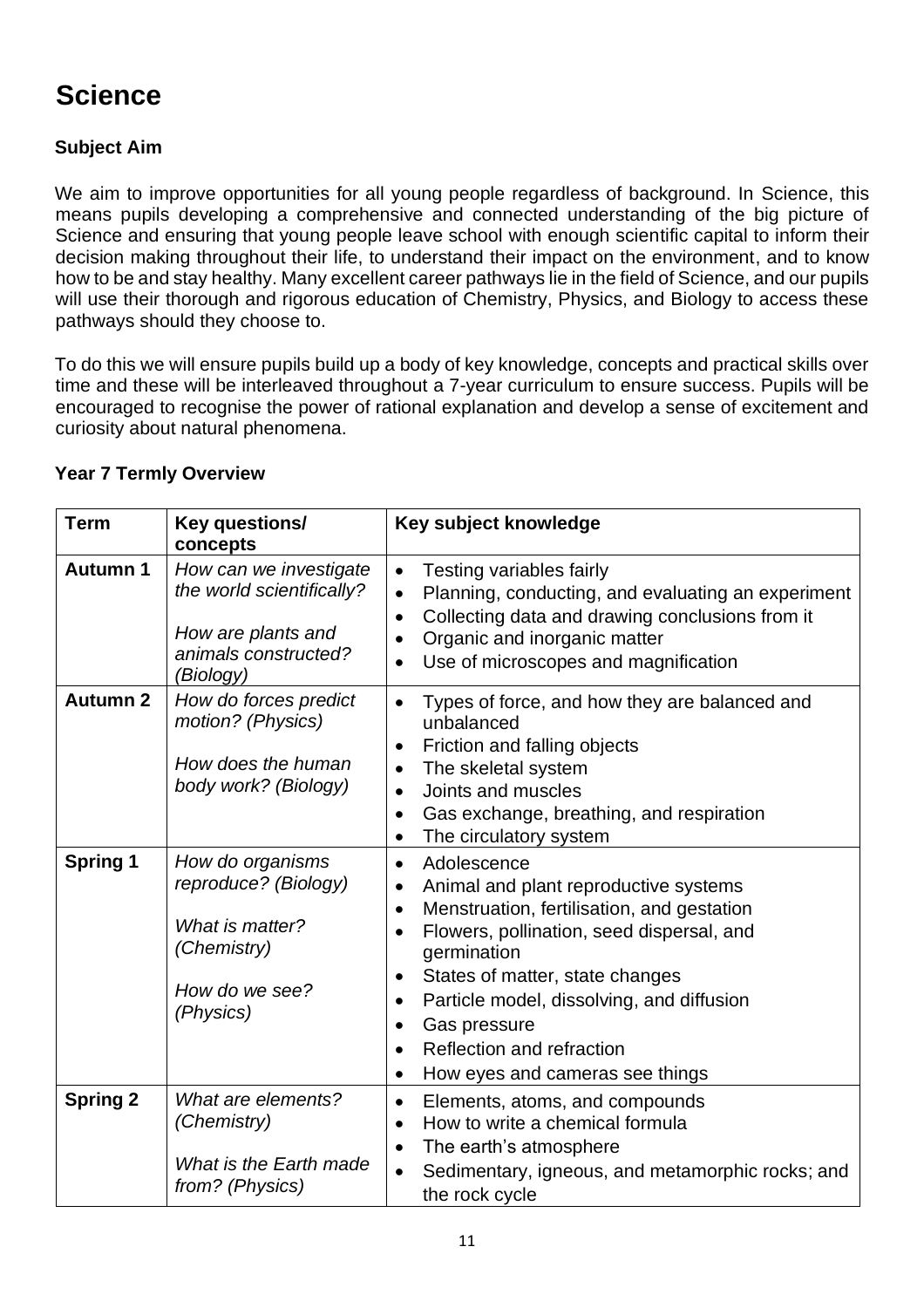# **Science**

# **Subject Aim**

We aim to improve opportunities for all young people regardless of background. In Science, this means pupils developing a comprehensive and connected understanding of the big picture of Science and ensuring that young people leave school with enough scientific capital to inform their decision making throughout their life, to understand their impact on the environment, and to know how to be and stay healthy. Many excellent career pathways lie in the field of Science, and our pupils will use their thorough and rigorous education of Chemistry, Physics, and Biology to access these pathways should they choose to.

To do this we will ensure pupils build up a body of key knowledge, concepts and practical skills over time and these will be interleaved throughout a 7-year curriculum to ensure success. Pupils will be encouraged to recognise the power of rational explanation and develop a sense of excitement and curiosity about natural phenomena.

| <b>Term</b>     | Key questions/<br>concepts                                                                                     | Key subject knowledge                                                                                                                                                                                                                                                                                                                                                                                                                               |
|-----------------|----------------------------------------------------------------------------------------------------------------|-----------------------------------------------------------------------------------------------------------------------------------------------------------------------------------------------------------------------------------------------------------------------------------------------------------------------------------------------------------------------------------------------------------------------------------------------------|
| <b>Autumn 1</b> | How can we investigate<br>the world scientifically?<br>How are plants and<br>animals constructed?<br>(Biology) | Testing variables fairly<br>$\bullet$<br>Planning, conducting, and evaluating an experiment<br>$\bullet$<br>Collecting data and drawing conclusions from it<br>$\bullet$<br>Organic and inorganic matter<br>$\bullet$<br>Use of microscopes and magnification<br>$\bullet$                                                                                                                                                                          |
| <b>Autumn 2</b> | How do forces predict<br>motion? (Physics)<br>How does the human<br>body work? (Biology)                       | Types of force, and how they are balanced and<br>$\bullet$<br>unbalanced<br>Friction and falling objects<br>$\bullet$<br>The skeletal system<br>$\bullet$<br>Joints and muscles<br>$\bullet$<br>Gas exchange, breathing, and respiration<br>$\bullet$<br>The circulatory system<br>$\bullet$                                                                                                                                                        |
| <b>Spring 1</b> | How do organisms<br>reproduce? (Biology)<br>What is matter?<br>(Chemistry)<br>How do we see?<br>(Physics)      | Adolescence<br>$\bullet$<br>Animal and plant reproductive systems<br>$\bullet$<br>Menstruation, fertilisation, and gestation<br>$\bullet$<br>Flowers, pollination, seed dispersal, and<br>$\bullet$<br>germination<br>States of matter, state changes<br>$\bullet$<br>Particle model, dissolving, and diffusion<br>$\bullet$<br>Gas pressure<br>$\bullet$<br>Reflection and refraction<br>$\bullet$<br>How eyes and cameras see things<br>$\bullet$ |
| <b>Spring 2</b> | What are elements?<br>(Chemistry)<br>What is the Earth made<br>from? (Physics)                                 | Elements, atoms, and compounds<br>$\bullet$<br>How to write a chemical formula<br>$\bullet$<br>The earth's atmosphere<br>$\bullet$<br>Sedimentary, igneous, and metamorphic rocks; and<br>$\bullet$<br>the rock cycle                                                                                                                                                                                                                               |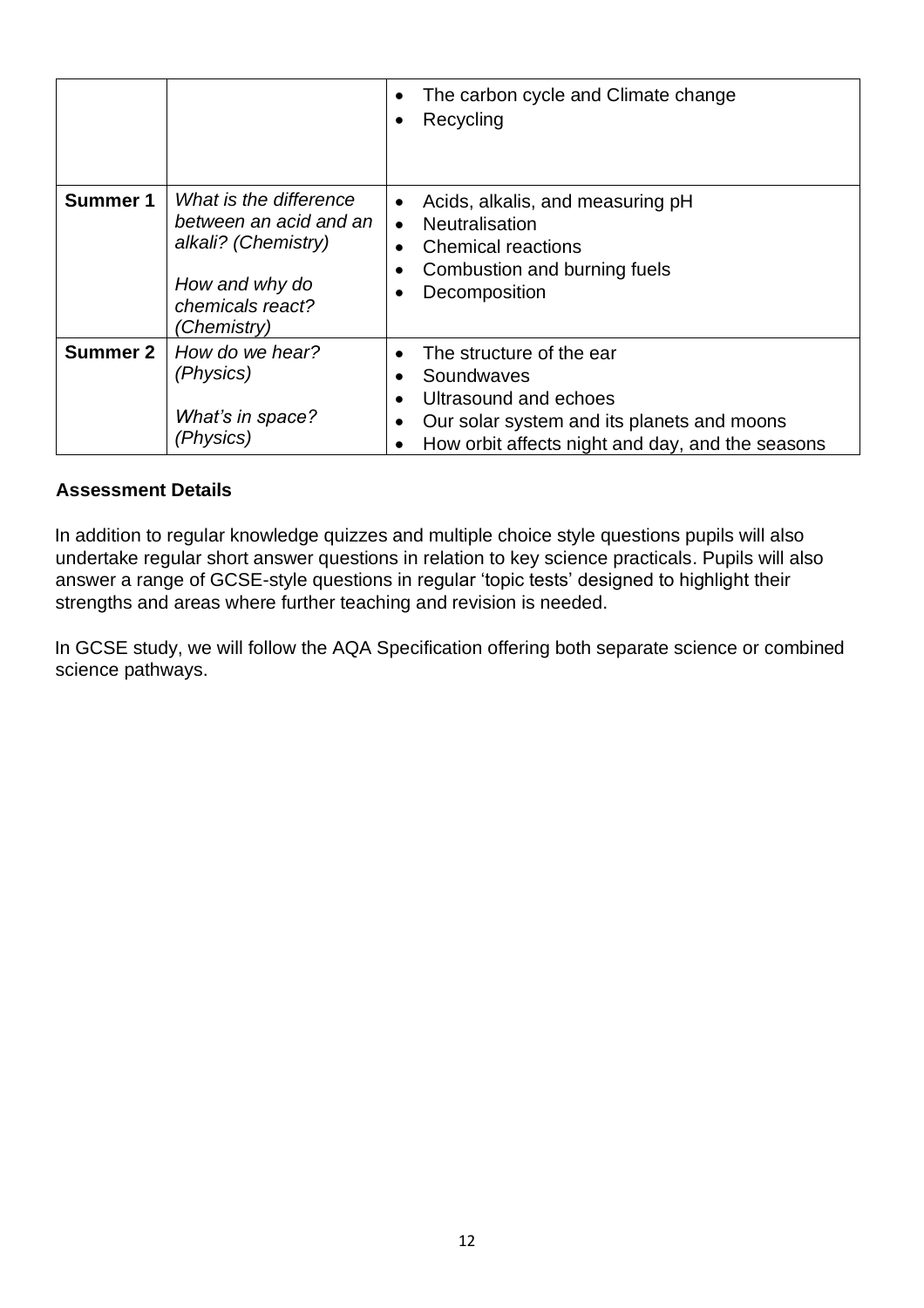|                 |                                                                                                                              | The carbon cycle and Climate change<br>Recycling<br>٠                                                                                                                          |
|-----------------|------------------------------------------------------------------------------------------------------------------------------|--------------------------------------------------------------------------------------------------------------------------------------------------------------------------------|
| <b>Summer 1</b> | What is the difference<br>between an acid and an<br>alkali? (Chemistry)<br>How and why do<br>chemicals react?<br>(Chemistry) | Acids, alkalis, and measuring pH<br>$\bullet$<br><b>Neutralisation</b><br>$\bullet$<br><b>Chemical reactions</b><br>Combustion and burning fuels<br>Decomposition              |
| <b>Summer 2</b> | How do we hear?<br>(Physics)<br>What's in space?<br>(Physics)                                                                | The structure of the ear<br>Soundwaves<br>Ultrasound and echoes<br>Our solar system and its planets and moons<br>$\bullet$<br>How orbit affects night and day, and the seasons |

In addition to regular knowledge quizzes and multiple choice style questions pupils will also undertake regular short answer questions in relation to key science practicals. Pupils will also answer a range of GCSE-style questions in regular 'topic tests' designed to highlight their strengths and areas where further teaching and revision is needed.

In GCSE study, we will follow the AQA Specification offering both separate science or combined science pathways.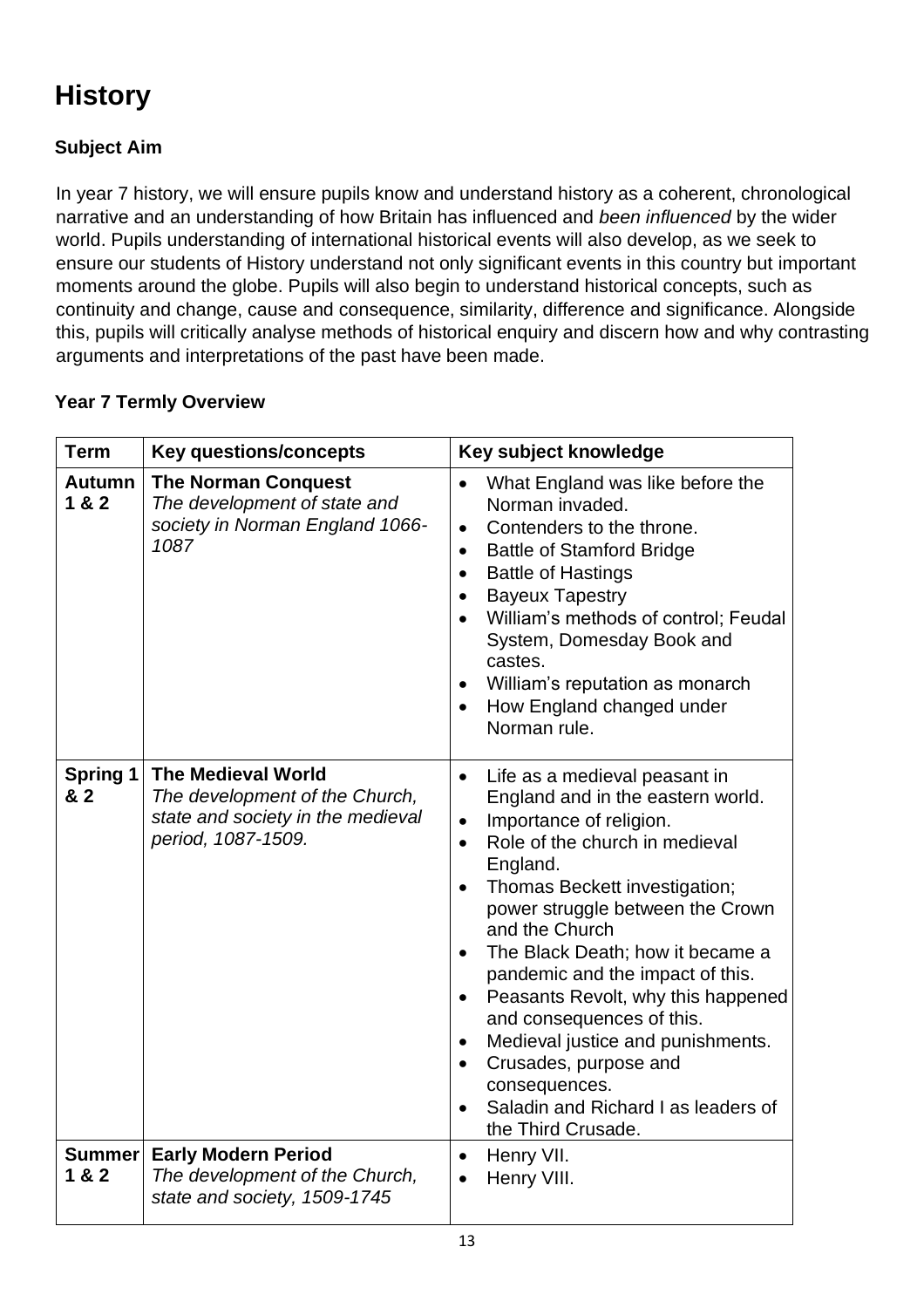# **History**

# **Subject Aim**

In year 7 history, we will ensure pupils know and understand history as a coherent, chronological narrative and an understanding of how Britain has influenced and *been influenced* by the wider world. Pupils understanding of international historical events will also develop, as we seek to ensure our students of History understand not only significant events in this country but important moments around the globe. Pupils will also begin to understand historical concepts, such as continuity and change, cause and consequence, similarity, difference and significance. Alongside this, pupils will critically analyse methods of historical enquiry and discern how and why contrasting arguments and interpretations of the past have been made.

| <b>Term</b>            | <b>Key questions/concepts</b>                                                                                          | Key subject knowledge                                                                                                                                                                                                                                                                                                                                                                                                                                                                                                                                                                      |
|------------------------|------------------------------------------------------------------------------------------------------------------------|--------------------------------------------------------------------------------------------------------------------------------------------------------------------------------------------------------------------------------------------------------------------------------------------------------------------------------------------------------------------------------------------------------------------------------------------------------------------------------------------------------------------------------------------------------------------------------------------|
| <b>Autumn</b><br>1 & 2 | <b>The Norman Conquest</b><br>The development of state and<br>society in Norman England 1066-<br>1087                  | What England was like before the<br>Norman invaded.<br>Contenders to the throne.<br>$\bullet$<br><b>Battle of Stamford Bridge</b><br>$\bullet$<br><b>Battle of Hastings</b><br>$\bullet$<br><b>Bayeux Tapestry</b><br>$\bullet$<br>William's methods of control; Feudal<br>System, Domesday Book and<br>castes.<br>William's reputation as monarch<br>How England changed under<br>Norman rule.                                                                                                                                                                                            |
| <b>Spring 1</b><br>& 2 | <b>The Medieval World</b><br>The development of the Church,<br>state and society in the medieval<br>period, 1087-1509. | Life as a medieval peasant in<br>$\bullet$<br>England and in the eastern world.<br>Importance of religion.<br>$\bullet$<br>Role of the church in medieval<br>$\bullet$<br>England.<br>Thomas Beckett investigation;<br>power struggle between the Crown<br>and the Church<br>The Black Death; how it became a<br>$\bullet$<br>pandemic and the impact of this.<br>Peasants Revolt, why this happened<br>and consequences of this.<br>Medieval justice and punishments.<br>Crusades, purpose and<br>$\bullet$<br>consequences.<br>Saladin and Richard I as leaders of<br>the Third Crusade. |
| Summer<br>1 & 2        | <b>Early Modern Period</b><br>The development of the Church,<br>state and society, 1509-1745                           | Henry VII.<br>$\bullet$<br>Henry VIII.                                                                                                                                                                                                                                                                                                                                                                                                                                                                                                                                                     |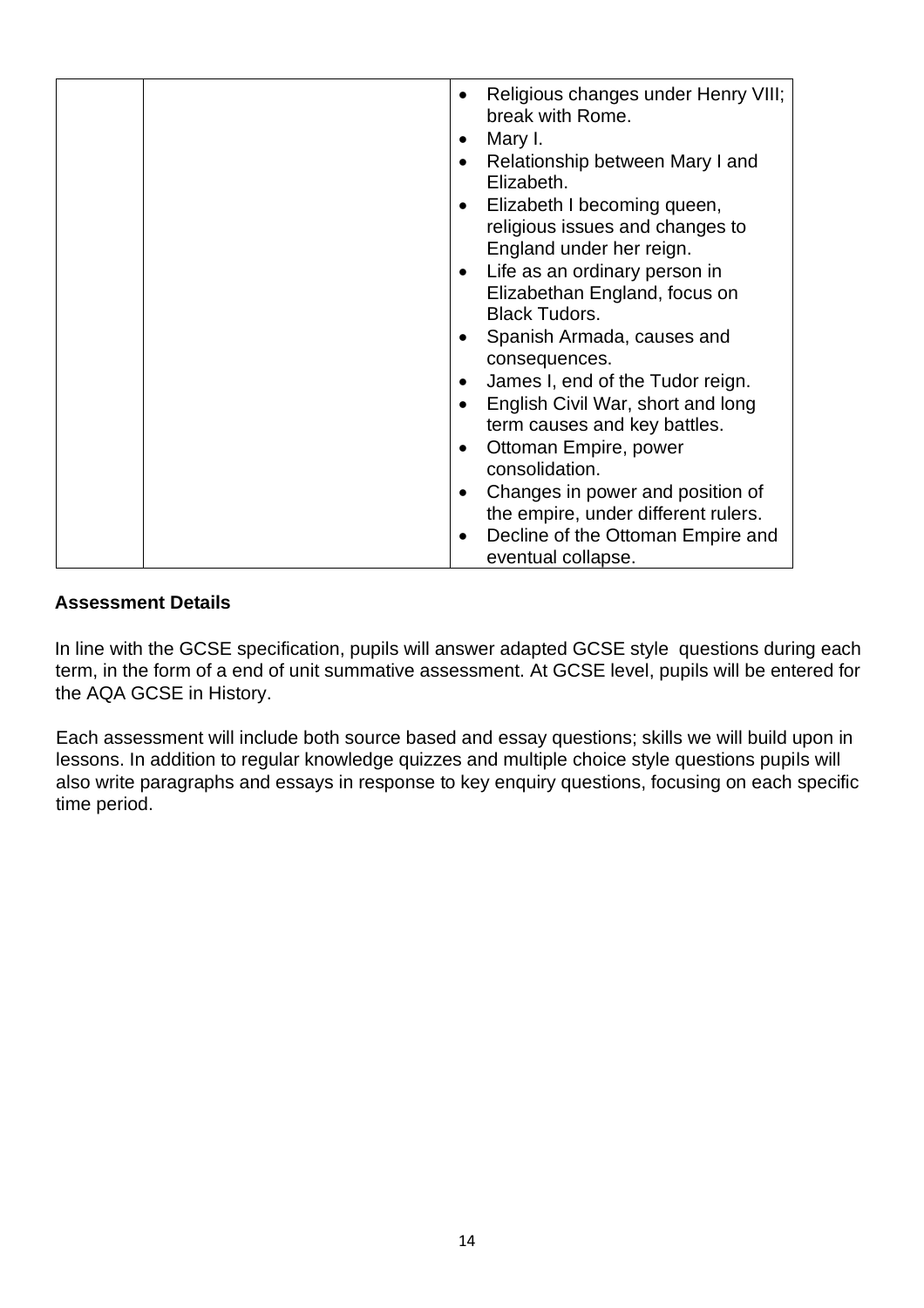| Religious changes under Henry VIII;<br>$\bullet$<br>break with Rome. |
|----------------------------------------------------------------------|
| Mary I.<br>$\bullet$                                                 |
| Relationship between Mary I and<br>$\bullet$                         |
| Elizabeth.                                                           |
| Elizabeth I becoming queen,<br>$\bullet$                             |
| religious issues and changes to                                      |
| England under her reign.                                             |
| Life as an ordinary person in<br>$\bullet$                           |
| Elizabethan England, focus on                                        |
| <b>Black Tudors.</b>                                                 |
| Spanish Armada, causes and<br>$\bullet$                              |
| consequences.                                                        |
| James I, end of the Tudor reign.<br>$\bullet$                        |
| English Civil War, short and long<br>$\bullet$                       |
| term causes and key battles.                                         |
| Ottoman Empire, power<br>$\bullet$                                   |
| consolidation.                                                       |
| Changes in power and position of<br>$\bullet$                        |
| the empire, under different rulers.                                  |
| Decline of the Ottoman Empire and<br>$\bullet$                       |
| eventual collapse.                                                   |

In line with the GCSE specification, pupils will answer adapted GCSE style questions during each term, in the form of a end of unit summative assessment. At GCSE level, pupils will be entered for the AQA GCSE in History.

Each assessment will include both source based and essay questions; skills we will build upon in lessons. In addition to regular knowledge quizzes and multiple choice style questions pupils will also write paragraphs and essays in response to key enquiry questions, focusing on each specific time period.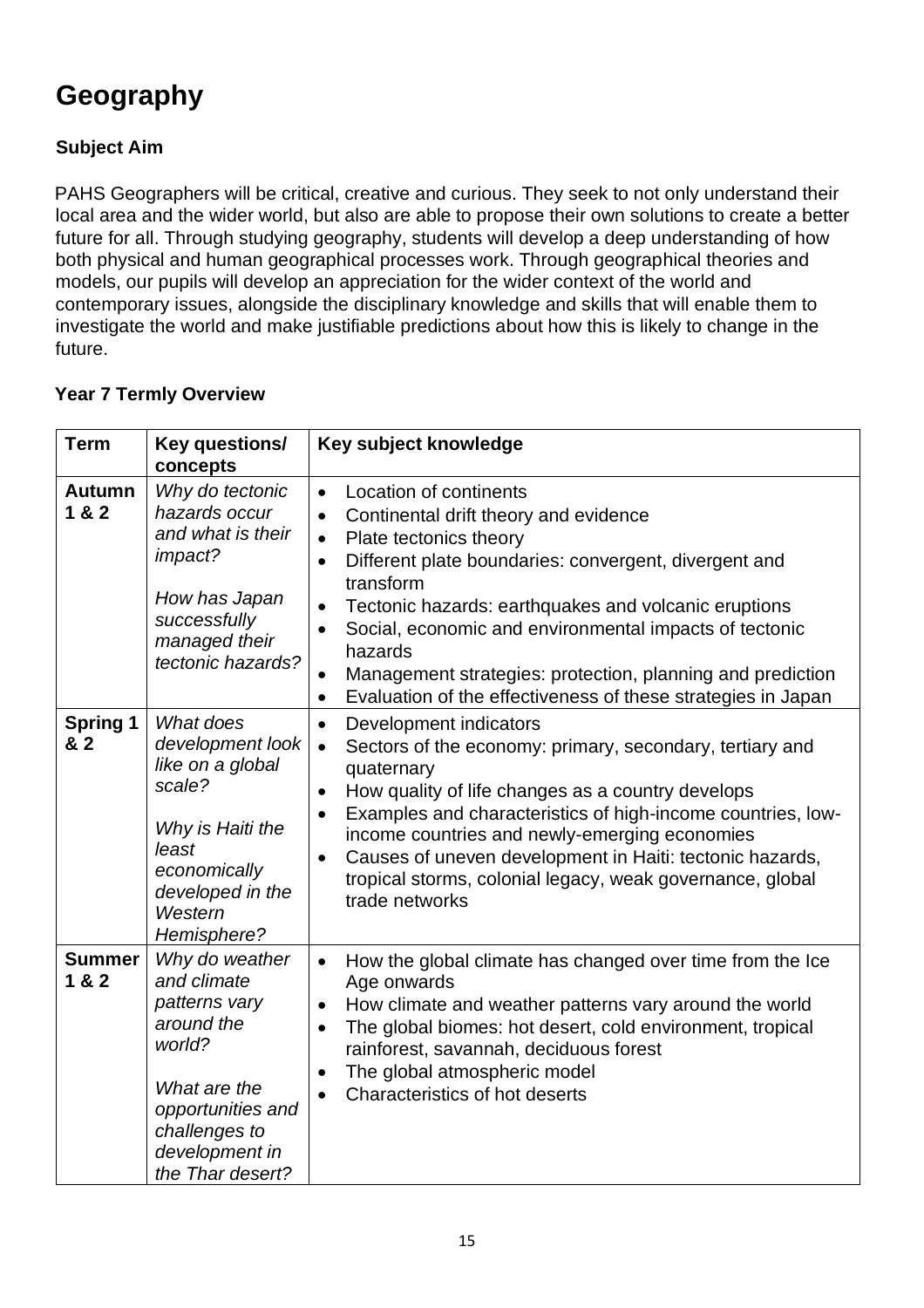# **Geography**

# **Subject Aim**

PAHS Geographers will be critical, creative and curious. They seek to not only understand their local area and the wider world, but also are able to propose their own solutions to create a better future for all. Through studying geography, students will develop a deep understanding of how both physical and human geographical processes work. Through geographical theories and models, our pupils will develop an appreciation for the wider context of the world and contemporary issues, alongside the disciplinary knowledge and skills that will enable them to investigate the world and make justifiable predictions about how this is likely to change in the future.

| <b>Term</b>            | Key questions/<br>concepts                                                                                                                                         | Key subject knowledge                                                                                                                                                                                                                                                                                                                                                                                                                                                                                    |
|------------------------|--------------------------------------------------------------------------------------------------------------------------------------------------------------------|----------------------------------------------------------------------------------------------------------------------------------------------------------------------------------------------------------------------------------------------------------------------------------------------------------------------------------------------------------------------------------------------------------------------------------------------------------------------------------------------------------|
| <b>Autumn</b><br>1 & 2 | Why do tectonic<br>hazards occur<br>and what is their<br>impact?<br>How has Japan<br>successfully<br>managed their<br>tectonic hazards?                            | Location of continents<br>$\bullet$<br>Continental drift theory and evidence<br>$\bullet$<br>Plate tectonics theory<br>$\bullet$<br>Different plate boundaries: convergent, divergent and<br>$\bullet$<br>transform<br>Tectonic hazards: earthquakes and volcanic eruptions<br>Social, economic and environmental impacts of tectonic<br>hazards<br>Management strategies: protection, planning and prediction<br>$\bullet$<br>Evaluation of the effectiveness of these strategies in Japan<br>$\bullet$ |
| <b>Spring 1</b><br>& 2 | What does<br>development look<br>like on a global<br>scale?<br>Why is Haiti the<br>least<br>economically<br>developed in the<br>Western<br>Hemisphere?             | Development indicators<br>$\bullet$<br>Sectors of the economy: primary, secondary, tertiary and<br>$\bullet$<br>quaternary<br>How quality of life changes as a country develops<br>$\bullet$<br>Examples and characteristics of high-income countries, low-<br>$\bullet$<br>income countries and newly-emerging economies<br>Causes of uneven development in Haiti: tectonic hazards,<br>$\bullet$<br>tropical storms, colonial legacy, weak governance, global<br>trade networks                        |
| <b>Summer</b><br>1 & 2 | Why do weather<br>and climate<br>patterns vary<br>around the<br>world?<br>What are the<br>opportunities and<br>challenges to<br>development in<br>the Thar desert? | How the global climate has changed over time from the Ice<br>$\bullet$<br>Age onwards<br>How climate and weather patterns vary around the world<br>$\bullet$<br>The global biomes: hot desert, cold environment, tropical<br>rainforest, savannah, deciduous forest<br>The global atmospheric model<br>$\bullet$<br>Characteristics of hot deserts                                                                                                                                                       |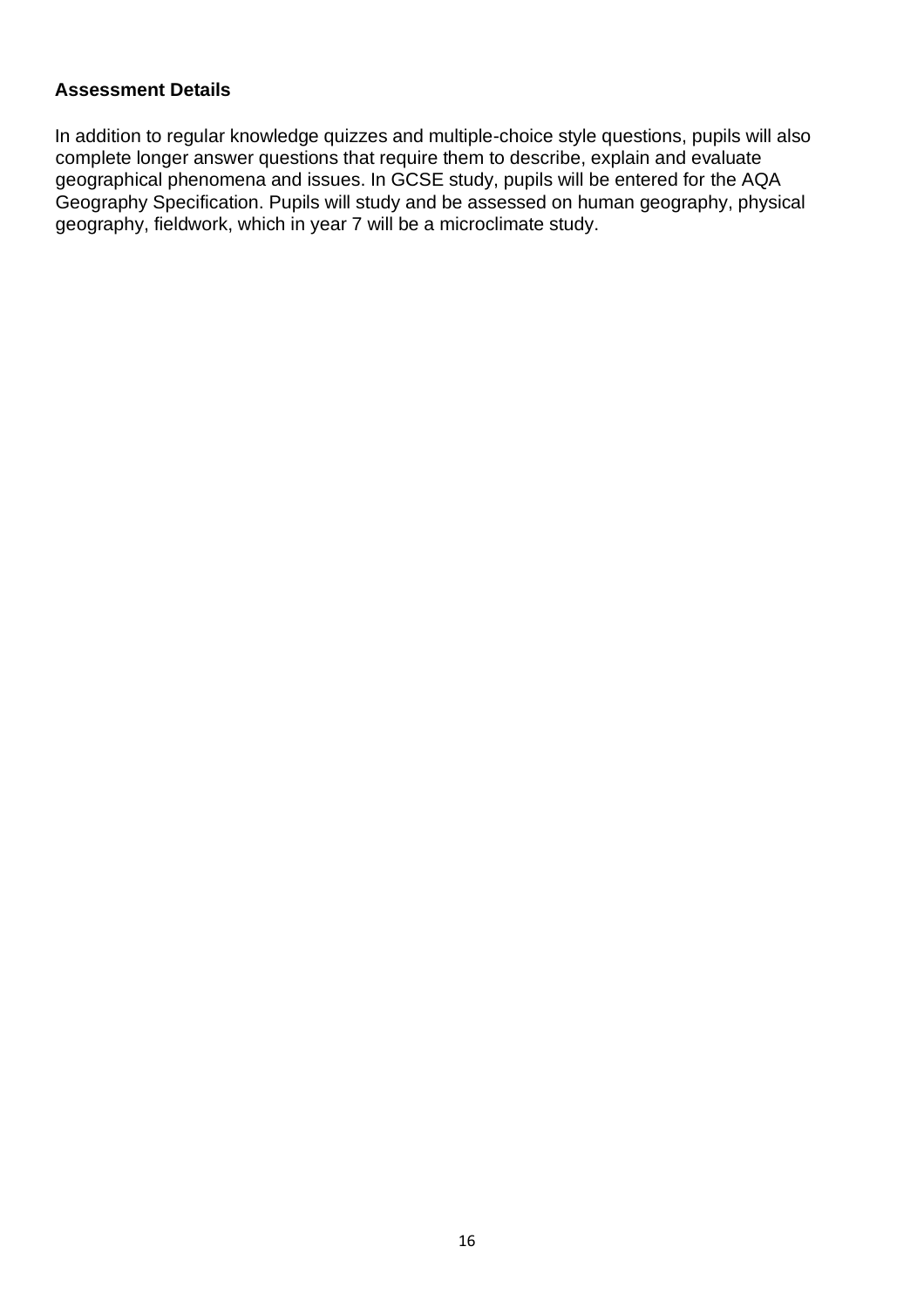In addition to regular knowledge quizzes and multiple-choice style questions, pupils will also complete longer answer questions that require them to describe, explain and evaluate geographical phenomena and issues. In GCSE study, pupils will be entered for the AQA Geography Specification. Pupils will study and be assessed on human geography, physical geography, fieldwork, which in year 7 will be a microclimate study.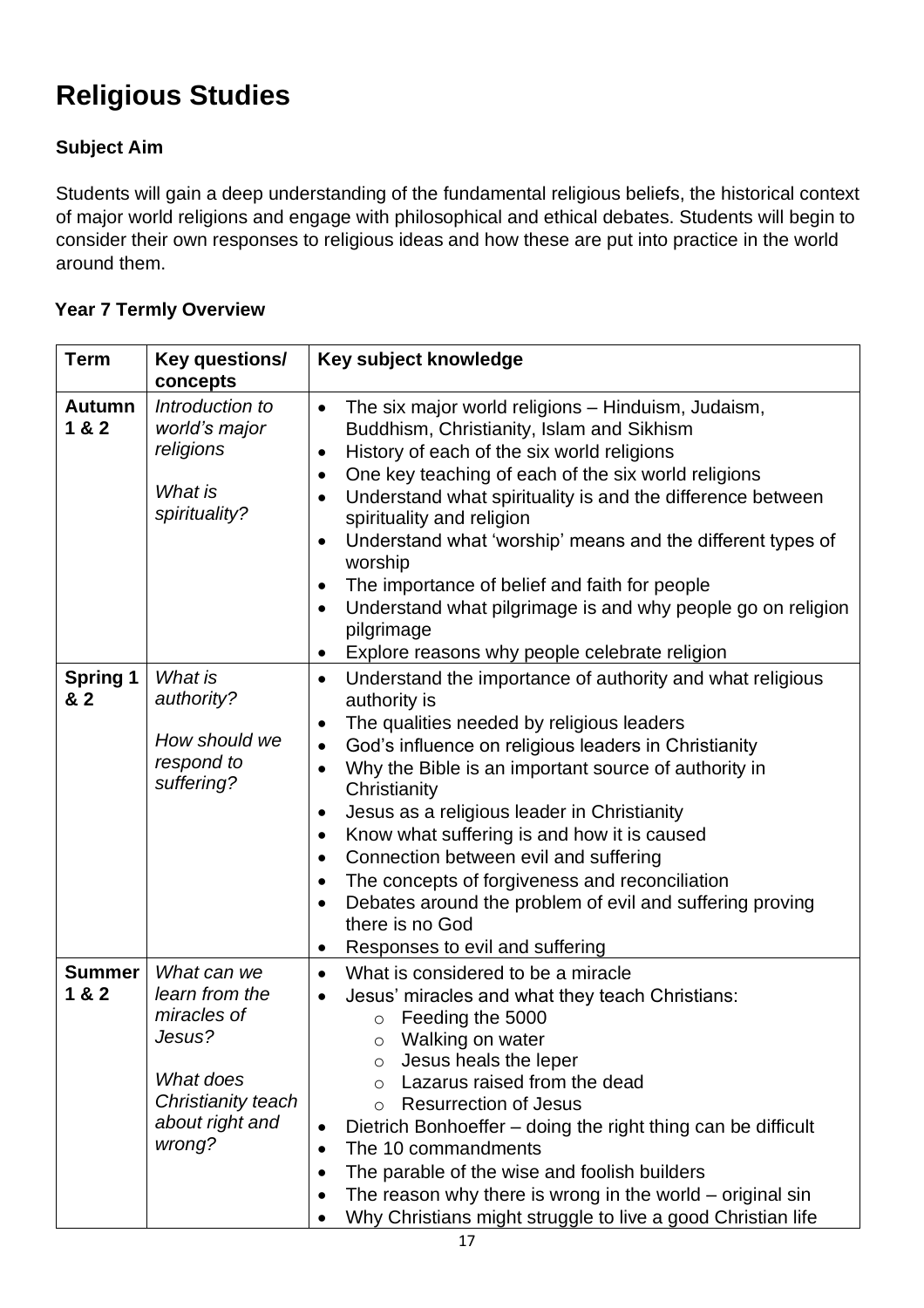# **Religious Studies**

# **Subject Aim**

Students will gain a deep understanding of the fundamental religious beliefs, the historical context of major world religions and engage with philosophical and ethical debates. Students will begin to consider their own responses to religious ideas and how these are put into practice in the world around them.

| <b>Term</b>            | Key questions/<br>concepts                                                                                             | Key subject knowledge                                                                                                                                                                                                                                                                                                                                                                                                                                                                                                                                                                                                                                                                                                                |
|------------------------|------------------------------------------------------------------------------------------------------------------------|--------------------------------------------------------------------------------------------------------------------------------------------------------------------------------------------------------------------------------------------------------------------------------------------------------------------------------------------------------------------------------------------------------------------------------------------------------------------------------------------------------------------------------------------------------------------------------------------------------------------------------------------------------------------------------------------------------------------------------------|
| <b>Autumn</b><br>1 & 2 | Introduction to<br>world's major<br>religions<br>What is<br>spirituality?                                              | The six major world religions - Hinduism, Judaism,<br>$\bullet$<br>Buddhism, Christianity, Islam and Sikhism<br>History of each of the six world religions<br>$\bullet$<br>One key teaching of each of the six world religions<br>$\bullet$<br>Understand what spirituality is and the difference between<br>$\bullet$<br>spirituality and religion<br>Understand what 'worship' means and the different types of<br>$\bullet$<br>worship<br>The importance of belief and faith for people<br>$\bullet$<br>Understand what pilgrimage is and why people go on religion<br>$\bullet$<br>pilgrimage                                                                                                                                    |
| <b>Spring 1</b><br>& 2 | What is<br>authority?<br>How should we<br>respond to<br>suffering?                                                     | Explore reasons why people celebrate religion<br>٠<br>Understand the importance of authority and what religious<br>$\bullet$<br>authority is<br>The qualities needed by religious leaders<br>God's influence on religious leaders in Christianity<br>$\bullet$<br>Why the Bible is an important source of authority in<br>$\bullet$<br>Christianity<br>Jesus as a religious leader in Christianity<br>$\bullet$<br>Know what suffering is and how it is caused<br>$\bullet$<br>Connection between evil and suffering<br>$\bullet$<br>The concepts of forgiveness and reconciliation<br>$\bullet$<br>Debates around the problem of evil and suffering proving<br>$\bullet$<br>there is no God<br>Responses to evil and suffering<br>٠ |
| <b>Summer</b><br>1 & 2 | What can we<br>learn from the<br>miracles of<br>Jesus?<br>What does<br>Christianity teach<br>about right and<br>wrong? | What is considered to be a miracle<br>$\bullet$<br>Jesus' miracles and what they teach Christians:<br>$\bullet$<br>Feeding the 5000<br>$\circ$<br>Walking on water<br>Jesus heals the leper<br>$\circ$<br>Lazarus raised from the dead<br>$\circ$<br><b>Resurrection of Jesus</b><br>$\circ$<br>Dietrich Bonhoeffer - doing the right thing can be difficult<br>$\bullet$<br>The 10 commandments<br>$\bullet$<br>The parable of the wise and foolish builders<br>The reason why there is wrong in the world $-$ original sin<br>$\bullet$<br>Why Christians might struggle to live a good Christian life                                                                                                                             |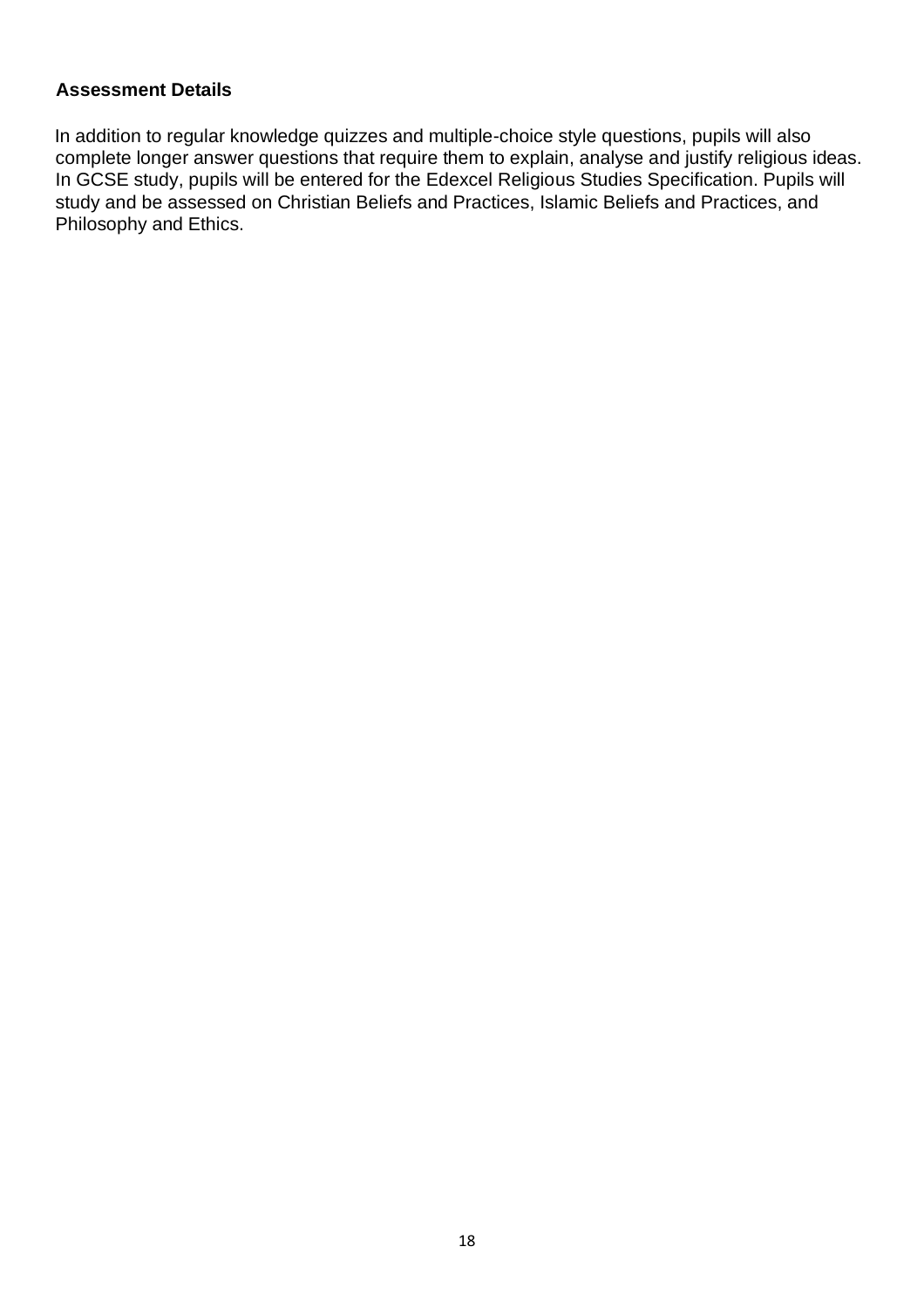In addition to regular knowledge quizzes and multiple-choice style questions, pupils will also complete longer answer questions that require them to explain, analyse and justify religious ideas. In GCSE study, pupils will be entered for the Edexcel Religious Studies Specification. Pupils will study and be assessed on Christian Beliefs and Practices, Islamic Beliefs and Practices, and Philosophy and Ethics.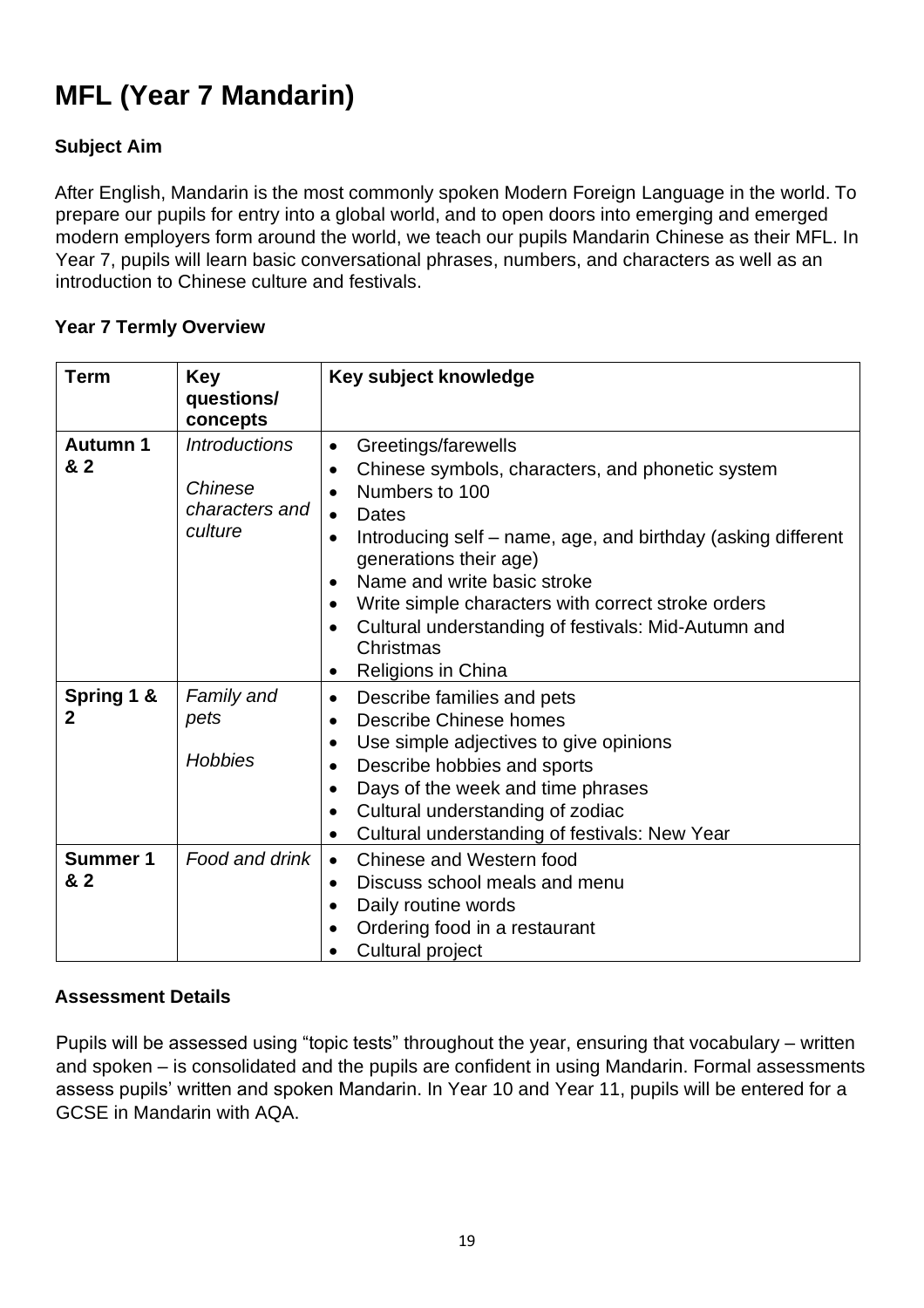# **MFL (Year 7 Mandarin)**

# **Subject Aim**

After English, Mandarin is the most commonly spoken Modern Foreign Language in the world. To prepare our pupils for entry into a global world, and to open doors into emerging and emerged modern employers form around the world, we teach our pupils Mandarin Chinese as their MFL. In Year 7, pupils will learn basic conversational phrases, numbers, and characters as well as an introduction to Chinese culture and festivals.

#### **Year 7 Termly Overview**

| <b>Term</b>            | <b>Key</b><br>questions/<br>concepts                         | Key subject knowledge                                                                                                                                                                                                                                                                                                                                                                                                                                                  |
|------------------------|--------------------------------------------------------------|------------------------------------------------------------------------------------------------------------------------------------------------------------------------------------------------------------------------------------------------------------------------------------------------------------------------------------------------------------------------------------------------------------------------------------------------------------------------|
| Autumn 1<br>& 2        | <b>Introductions</b><br>Chinese<br>characters and<br>culture | Greetings/farewells<br>$\bullet$<br>Chinese symbols, characters, and phonetic system<br>$\bullet$<br>Numbers to 100<br>$\bullet$<br>Dates<br>$\bullet$<br>Introducing self – name, age, and birthday (asking different<br>$\bullet$<br>generations their age)<br>Name and write basic stroke<br>$\bullet$<br>Write simple characters with correct stroke orders<br>$\bullet$<br>Cultural understanding of festivals: Mid-Autumn and<br>Christmas<br>Religions in China |
| Spring 1 &<br>2        | Family and<br>pets<br><b>Hobbies</b>                         | Describe families and pets<br>$\bullet$<br>Describe Chinese homes<br>$\bullet$<br>Use simple adjectives to give opinions<br>$\bullet$<br>Describe hobbies and sports<br>$\bullet$<br>Days of the week and time phrases<br>$\bullet$<br>Cultural understanding of zodiac<br>$\bullet$<br>Cultural understanding of festivals: New Year<br>$\bullet$                                                                                                                     |
| <b>Summer 1</b><br>& 2 | Food and drink                                               | Chinese and Western food<br>$\bullet$<br>Discuss school meals and menu<br>$\bullet$<br>Daily routine words<br>$\bullet$<br>Ordering food in a restaurant<br>Cultural project<br>$\bullet$                                                                                                                                                                                                                                                                              |

### **Assessment Details**

Pupils will be assessed using "topic tests" throughout the year, ensuring that vocabulary – written and spoken – is consolidated and the pupils are confident in using Mandarin. Formal assessments assess pupils' written and spoken Mandarin. In Year 10 and Year 11, pupils will be entered for a GCSE in Mandarin with AQA.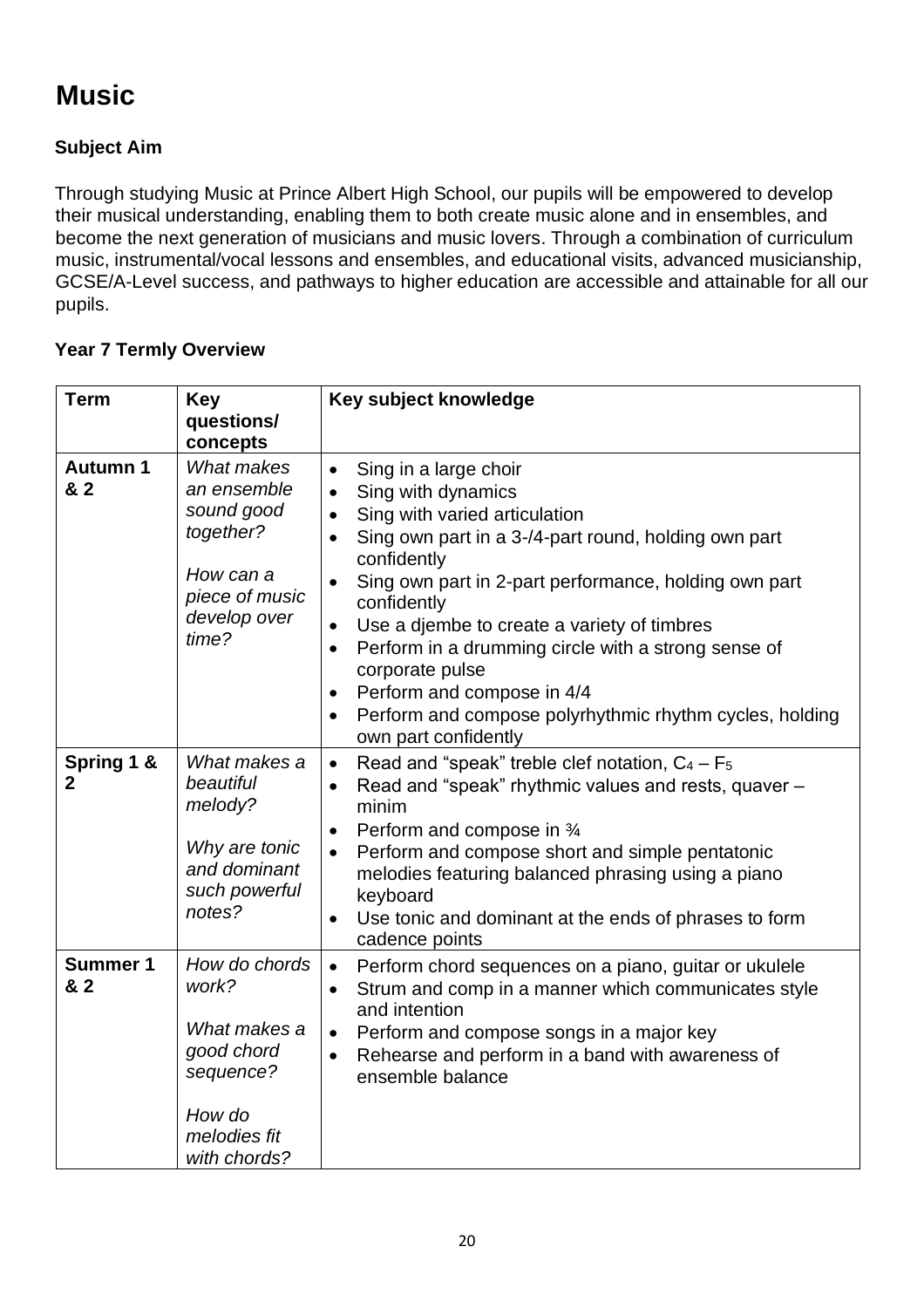# **Music**

# **Subject Aim**

Through studying Music at Prince Albert High School, our pupils will be empowered to develop their musical understanding, enabling them to both create music alone and in ensembles, and become the next generation of musicians and music lovers. Through a combination of curriculum music, instrumental/vocal lessons and ensembles, and educational visits, advanced musicianship, GCSE/A-Level success, and pathways to higher education are accessible and attainable for all our pupils.

| <b>Term</b>                | <b>Key</b><br>questions/                                                                                                        | Key subject knowledge                                                                                                                                                                                                                                                                                                                                                                                                                                                                                                                                            |
|----------------------------|---------------------------------------------------------------------------------------------------------------------------------|------------------------------------------------------------------------------------------------------------------------------------------------------------------------------------------------------------------------------------------------------------------------------------------------------------------------------------------------------------------------------------------------------------------------------------------------------------------------------------------------------------------------------------------------------------------|
| <b>Autumn 1</b><br>& 2     | concepts<br><b>What makes</b><br>an ensemble<br>sound good<br>together?<br>How can a<br>piece of music<br>develop over<br>time? | Sing in a large choir<br>$\bullet$<br>Sing with dynamics<br>$\bullet$<br>Sing with varied articulation<br>$\bullet$<br>Sing own part in a 3-/4-part round, holding own part<br>$\bullet$<br>confidently<br>Sing own part in 2-part performance, holding own part<br>confidently<br>Use a djembe to create a variety of timbres<br>$\bullet$<br>Perform in a drumming circle with a strong sense of<br>corporate pulse<br>Perform and compose in 4/4<br>$\bullet$<br>Perform and compose polyrhythmic rhythm cycles, holding<br>$\bullet$<br>own part confidently |
| Spring 1 &<br>$\mathbf{2}$ | What makes a<br>beautiful<br>melody?<br>Why are tonic<br>and dominant<br>such powerful<br>notes?                                | Read and "speak" treble clef notation, $C_4 - F_5$<br>$\bullet$<br>Read and "speak" rhythmic values and rests, quaver -<br>minim<br>Perform and compose in 3⁄4<br>$\bullet$<br>Perform and compose short and simple pentatonic<br>melodies featuring balanced phrasing using a piano<br>keyboard<br>Use tonic and dominant at the ends of phrases to form<br>cadence points                                                                                                                                                                                      |
| <b>Summer 1</b><br>& 2     | How do chords<br>work?<br>What makes a<br>good chord<br>sequence?<br>How do<br>melodies fit<br>with chords?                     | Perform chord sequences on a piano, guitar or ukulele<br>$\bullet$<br>Strum and comp in a manner which communicates style<br>$\bullet$<br>and intention<br>Perform and compose songs in a major key<br>Rehearse and perform in a band with awareness of<br>$\bullet$<br>ensemble balance                                                                                                                                                                                                                                                                         |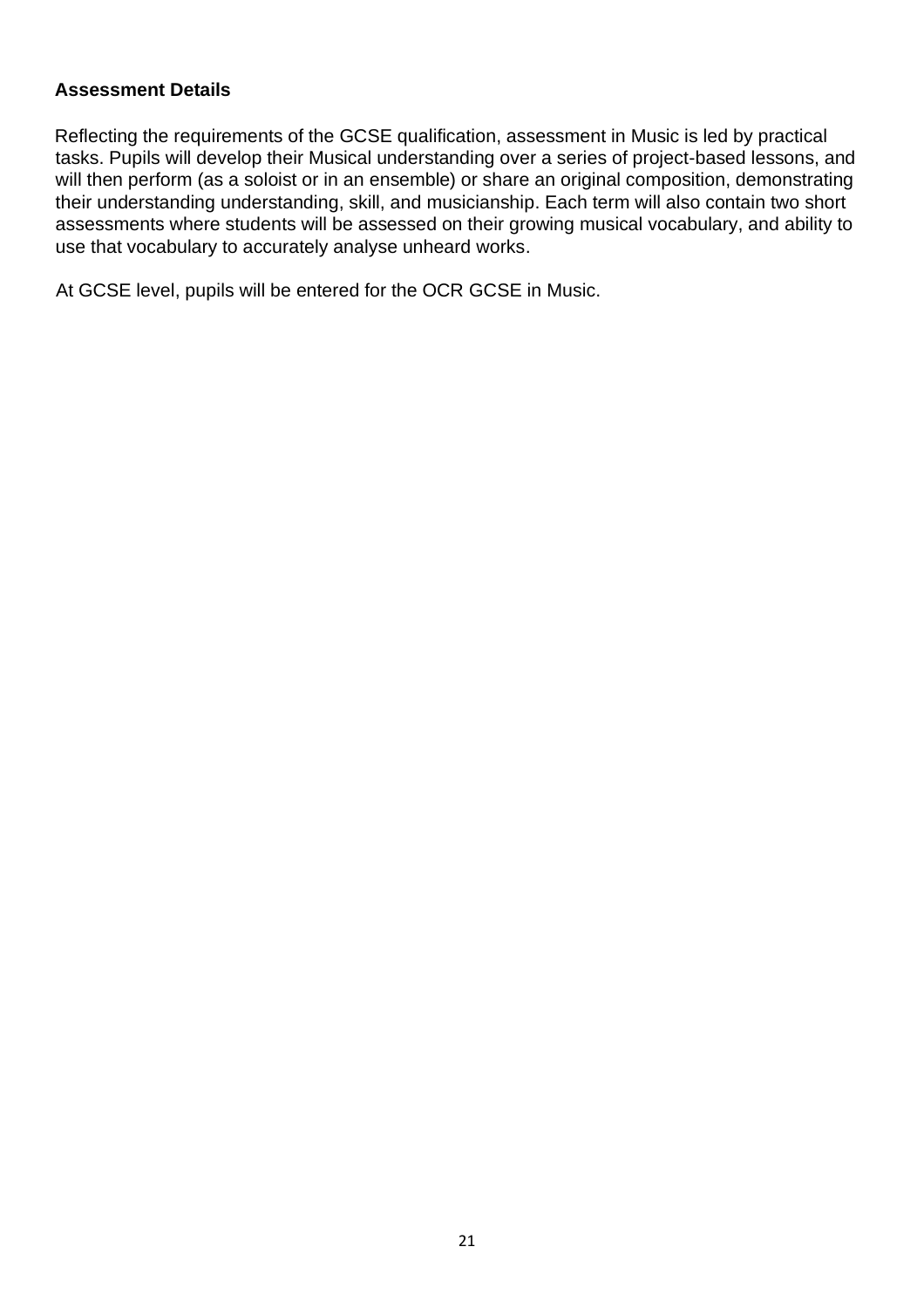Reflecting the requirements of the GCSE qualification, assessment in Music is led by practical tasks. Pupils will develop their Musical understanding over a series of project-based lessons, and will then perform (as a soloist or in an ensemble) or share an original composition, demonstrating their understanding understanding, skill, and musicianship. Each term will also contain two short assessments where students will be assessed on their growing musical vocabulary, and ability to use that vocabulary to accurately analyse unheard works.

At GCSE level, pupils will be entered for the OCR GCSE in Music.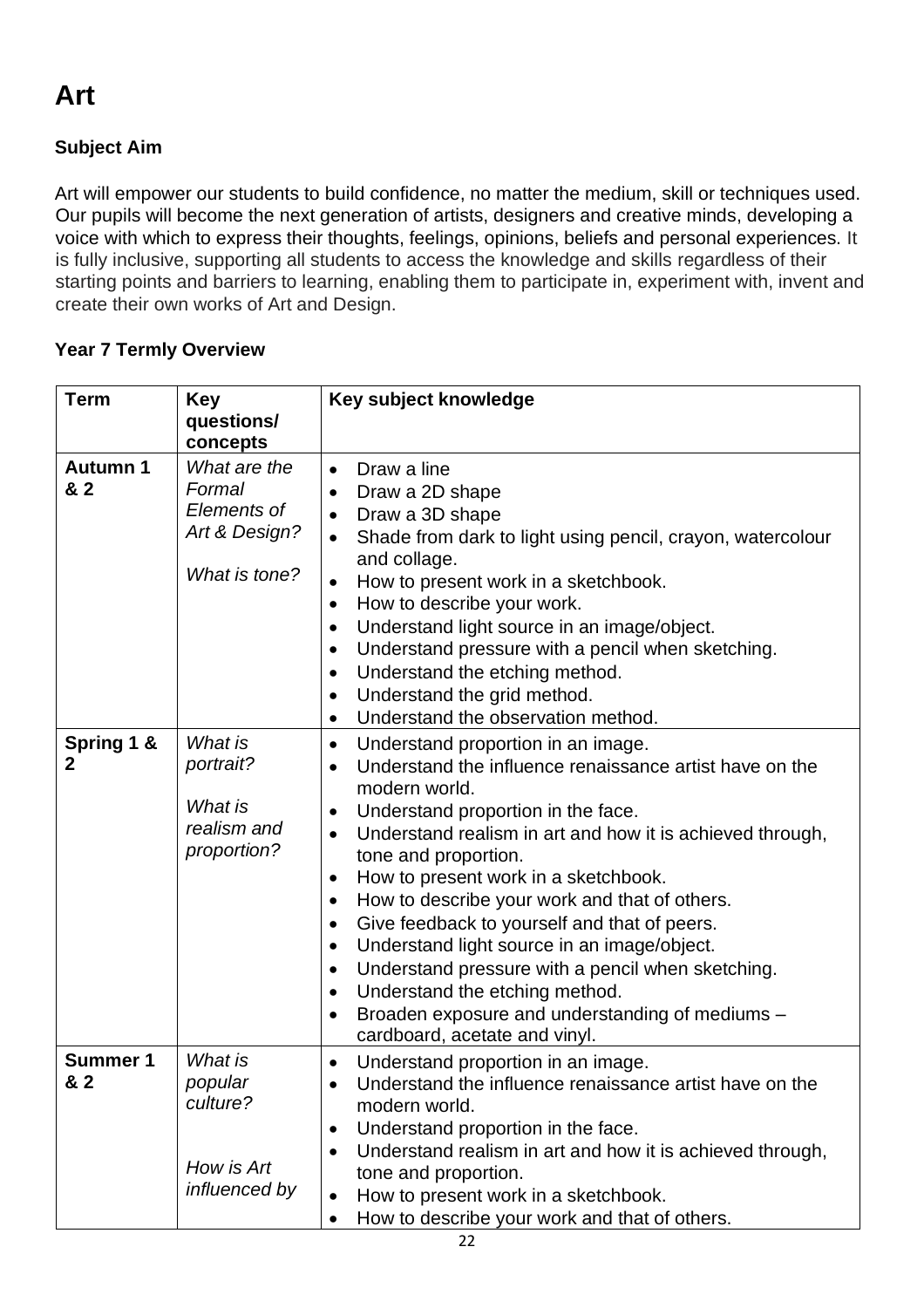# **Subject Aim**

Art will empower our students to build confidence, no matter the medium, skill or techniques used. Our pupils will become the next generation of artists, designers and creative minds, developing a voice with which to express their thoughts, feelings, opinions, beliefs and personal experiences. It is fully inclusive, supporting all students to access the knowledge and skills regardless of their starting points and barriers to learning, enabling them to participate in, experiment with, invent and create their own works of Art and Design.

| <b>Term</b>            | <b>Key</b>                                                              | Key subject knowledge                                                                                                                                                                                                                                                                                                                                                                                                                                                                                                                                                                                                                                                                                                                          |
|------------------------|-------------------------------------------------------------------------|------------------------------------------------------------------------------------------------------------------------------------------------------------------------------------------------------------------------------------------------------------------------------------------------------------------------------------------------------------------------------------------------------------------------------------------------------------------------------------------------------------------------------------------------------------------------------------------------------------------------------------------------------------------------------------------------------------------------------------------------|
|                        | questions/<br>concepts                                                  |                                                                                                                                                                                                                                                                                                                                                                                                                                                                                                                                                                                                                                                                                                                                                |
| <b>Autumn 1</b><br>& 2 | What are the<br>Formal<br>Elements of<br>Art & Design?<br>What is tone? | Draw a line<br>$\bullet$<br>Draw a 2D shape<br>Draw a 3D shape<br>$\bullet$<br>Shade from dark to light using pencil, crayon, watercolour<br>and collage.<br>How to present work in a sketchbook.<br>How to describe your work.<br>$\bullet$<br>Understand light source in an image/object.<br>$\bullet$<br>Understand pressure with a pencil when sketching.<br>$\bullet$<br>Understand the etching method.<br>$\bullet$<br>Understand the grid method.<br>Understand the observation method.<br>$\bullet$                                                                                                                                                                                                                                    |
| Spring 1 &<br>2        | What is<br>portrait?<br>What is<br>realism and<br>proportion?           | Understand proportion in an image.<br>$\bullet$<br>Understand the influence renaissance artist have on the<br>$\bullet$<br>modern world.<br>Understand proportion in the face.<br>$\bullet$<br>Understand realism in art and how it is achieved through,<br>$\bullet$<br>tone and proportion.<br>How to present work in a sketchbook.<br>$\bullet$<br>How to describe your work and that of others.<br>$\bullet$<br>Give feedback to yourself and that of peers.<br>$\bullet$<br>Understand light source in an image/object.<br>$\bullet$<br>Understand pressure with a pencil when sketching.<br>$\bullet$<br>Understand the etching method.<br>$\bullet$<br>Broaden exposure and understanding of mediums -<br>cardboard, acetate and vinyl. |
| <b>Summer 1</b><br>& 2 | What is<br>popular<br>culture?<br>How is Art<br>influenced by           | Understand proportion in an image.<br>$\bullet$<br>Understand the influence renaissance artist have on the<br>modern world.<br>Understand proportion in the face.<br>$\bullet$<br>Understand realism in art and how it is achieved through,<br>tone and proportion.<br>How to present work in a sketchbook.<br>How to describe your work and that of others.                                                                                                                                                                                                                                                                                                                                                                                   |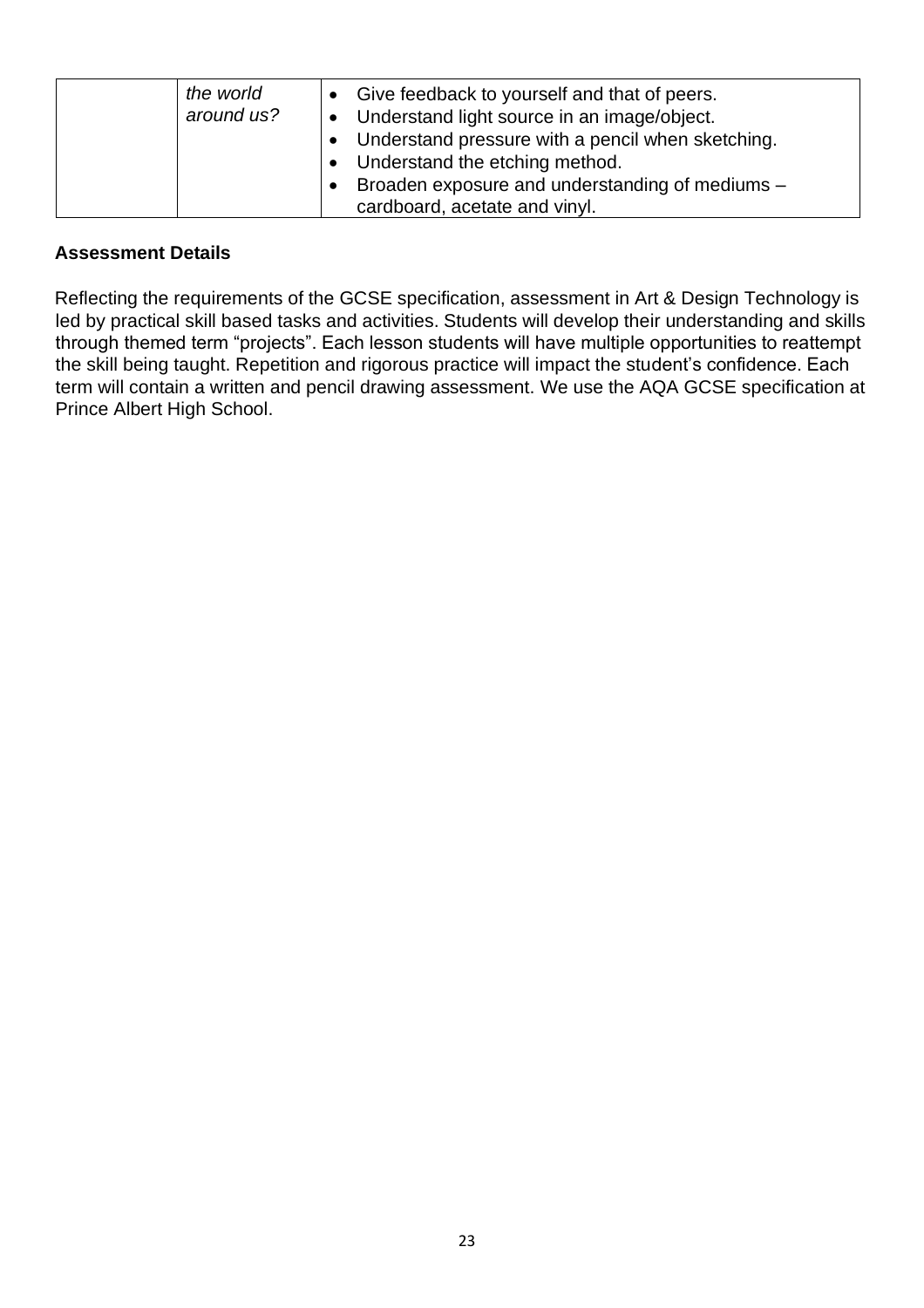| the world<br>around us? | • Give feedback to yourself and that of peers.<br><b>J</b> • Understand light source in an image/object.<br>• Understand pressure with a pencil when sketching.<br>• Understand the etching method.<br>• Broaden exposure and understanding of mediums $-$ |
|-------------------------|------------------------------------------------------------------------------------------------------------------------------------------------------------------------------------------------------------------------------------------------------------|
|                         | cardboard, acetate and vinyl.                                                                                                                                                                                                                              |

Reflecting the requirements of the GCSE specification, assessment in Art & Design Technology is led by practical skill based tasks and activities. Students will develop their understanding and skills through themed term "projects". Each lesson students will have multiple opportunities to reattempt the skill being taught. Repetition and rigorous practice will impact the student's confidence. Each term will contain a written and pencil drawing assessment. We use the AQA GCSE specification at Prince Albert High School.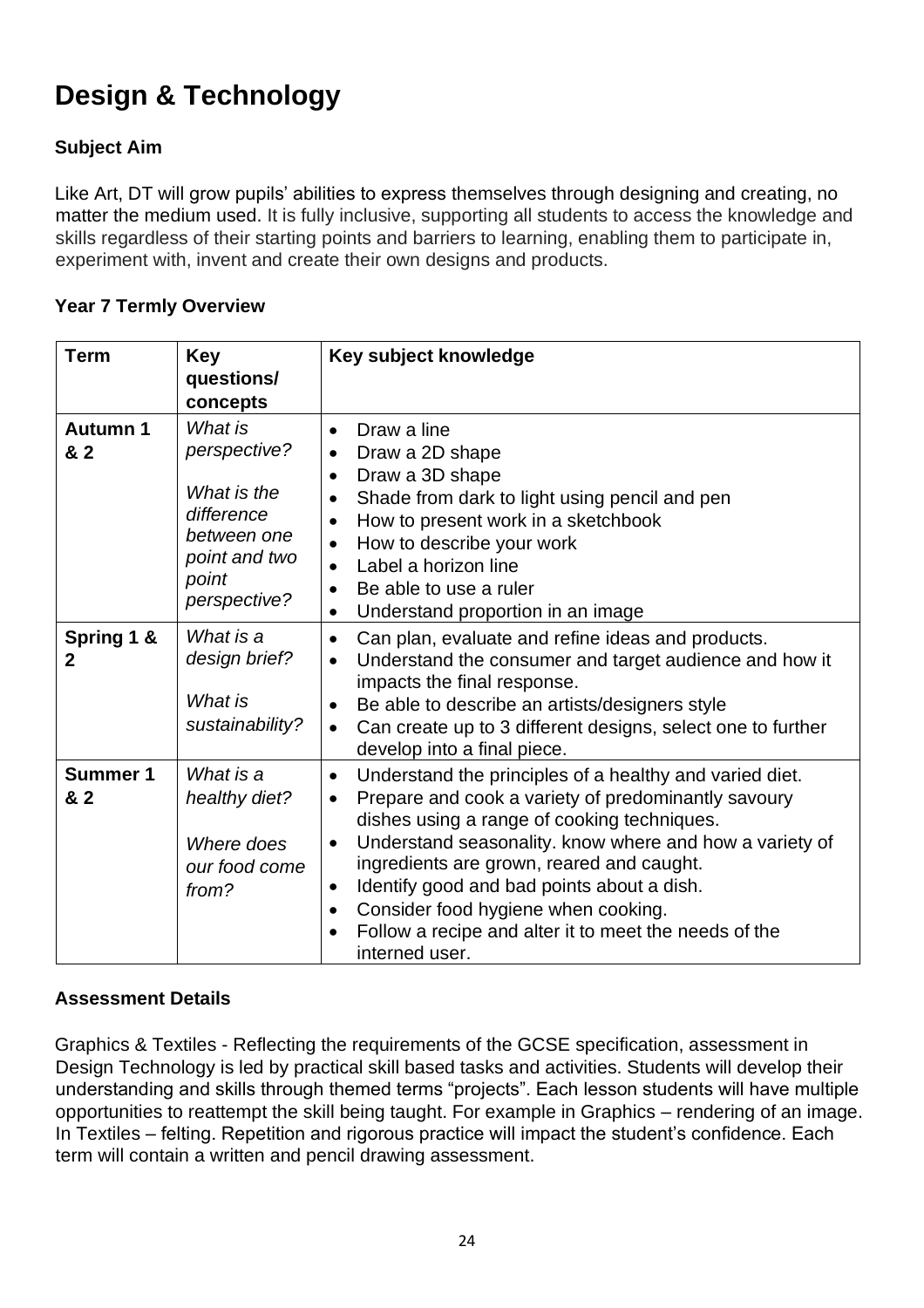# **Design & Technology**

# **Subject Aim**

Like Art, DT will grow pupils' abilities to express themselves through designing and creating, no matter the medium used. It is fully inclusive, supporting all students to access the knowledge and skills regardless of their starting points and barriers to learning, enabling them to participate in, experiment with, invent and create their own designs and products.

### **Year 7 Termly Overview**

| <b>Term</b>                  | <b>Key</b><br>questions/<br>concepts                                                                          | Key subject knowledge                                                                                                                                                                                                                                                                                                                                                                                                                                                                                  |
|------------------------------|---------------------------------------------------------------------------------------------------------------|--------------------------------------------------------------------------------------------------------------------------------------------------------------------------------------------------------------------------------------------------------------------------------------------------------------------------------------------------------------------------------------------------------------------------------------------------------------------------------------------------------|
| <b>Autumn 1</b><br>& 2       | What is<br>perspective?<br>What is the<br>difference<br>between one<br>point and two<br>point<br>perspective? | Draw a line<br>$\bullet$<br>Draw a 2D shape<br>Draw a 3D shape<br>$\bullet$<br>Shade from dark to light using pencil and pen<br>How to present work in a sketchbook<br>$\bullet$<br>How to describe your work<br>$\bullet$<br>Label a horizon line<br>Be able to use a ruler<br>Understand proportion in an image<br>$\bullet$                                                                                                                                                                         |
| Spring 1 &<br>$\overline{2}$ | What is a<br>design brief?<br>What is<br>sustainability?                                                      | Can plan, evaluate and refine ideas and products.<br>$\bullet$<br>Understand the consumer and target audience and how it<br>$\bullet$<br>impacts the final response.<br>Be able to describe an artists/designers style<br>Can create up to 3 different designs, select one to further<br>$\bullet$<br>develop into a final piece.                                                                                                                                                                      |
| <b>Summer 1</b><br>& 2       | What is a<br>healthy diet?<br>Where does<br>our food come<br>from?                                            | Understand the principles of a healthy and varied diet.<br>$\bullet$<br>Prepare and cook a variety of predominantly savoury<br>$\bullet$<br>dishes using a range of cooking techniques.<br>Understand seasonality. know where and how a variety of<br>$\bullet$<br>ingredients are grown, reared and caught.<br>Identify good and bad points about a dish.<br>$\bullet$<br>Consider food hygiene when cooking.<br>$\bullet$<br>Follow a recipe and alter it to meet the needs of the<br>interned user. |

### **Assessment Details**

Graphics & Textiles - Reflecting the requirements of the GCSE specification, assessment in Design Technology is led by practical skill based tasks and activities. Students will develop their understanding and skills through themed terms "projects". Each lesson students will have multiple opportunities to reattempt the skill being taught. For example in Graphics – rendering of an image. In Textiles – felting. Repetition and rigorous practice will impact the student's confidence. Each term will contain a written and pencil drawing assessment.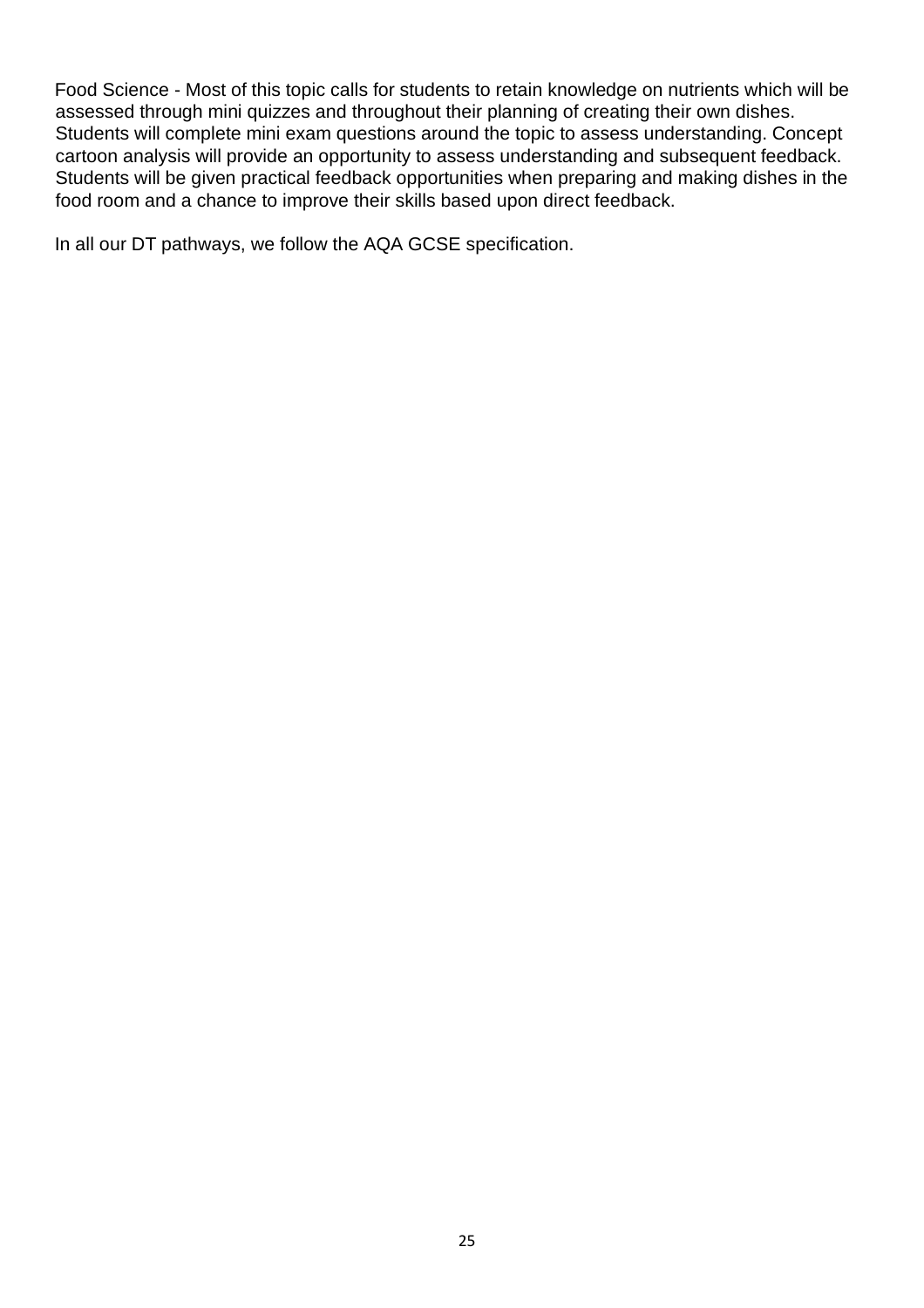Food Science - Most of this topic calls for students to retain knowledge on nutrients which will be assessed through mini quizzes and throughout their planning of creating their own dishes. Students will complete mini exam questions around the topic to assess understanding. Concept cartoon analysis will provide an opportunity to assess understanding and subsequent feedback. Students will be given practical feedback opportunities when preparing and making dishes in the food room and a chance to improve their skills based upon direct feedback.

In all our DT pathways, we follow the AQA GCSE specification.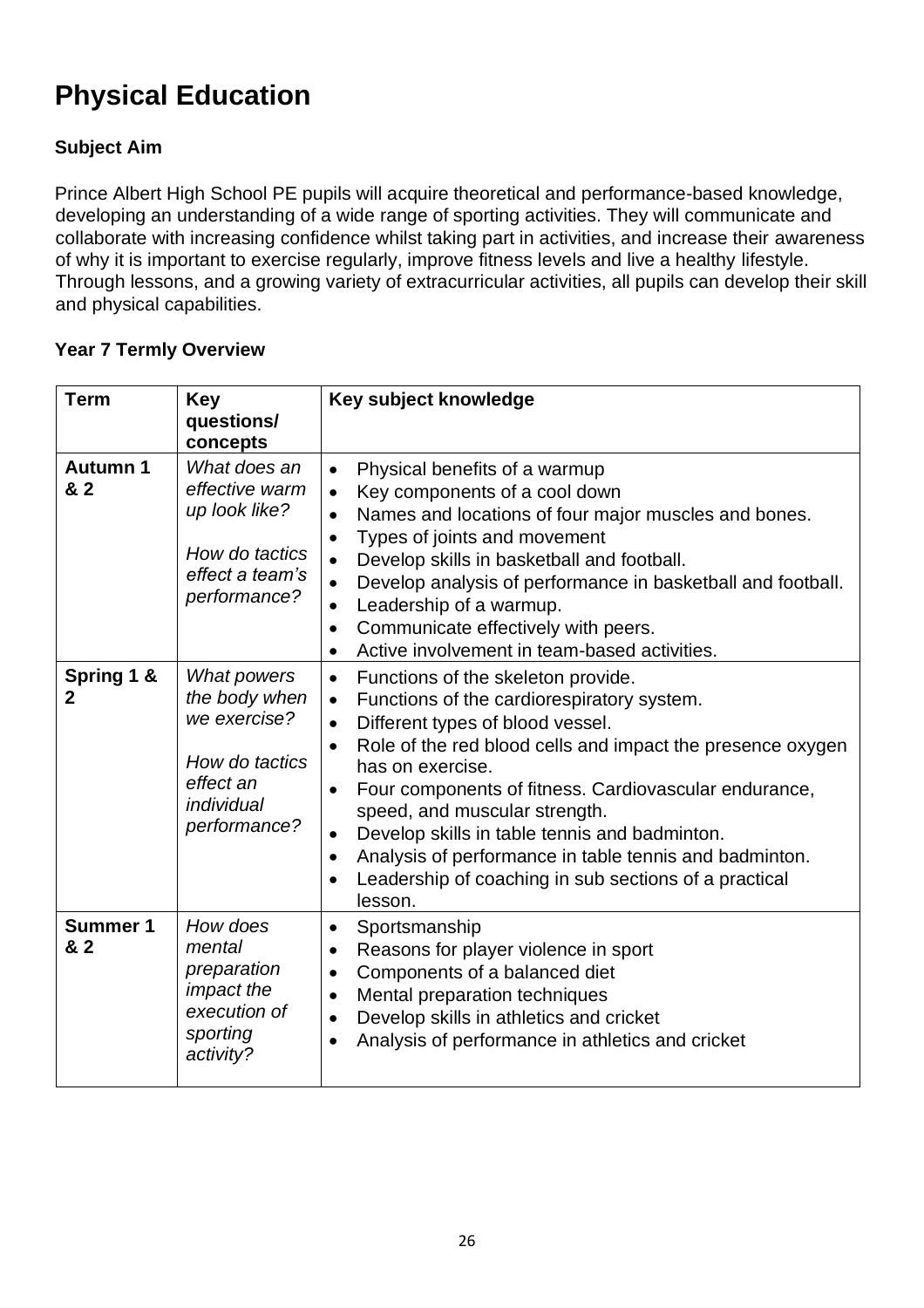# **Physical Education**

# **Subject Aim**

Prince Albert High School PE pupils will acquire theoretical and performance-based knowledge, developing an understanding of a wide range of sporting activities. They will communicate and collaborate with increasing confidence whilst taking part in activities, and increase their awareness of why it is important to exercise regularly, improve fitness levels and live a healthy lifestyle. Through lessons, and a growing variety of extracurricular activities, all pupils can develop their skill and physical capabilities.

| <b>Term</b>                | <b>Key</b><br>questions/<br>concepts                                                                      | Key subject knowledge                                                                                                                                                                                                                                                                                                                                                                                                                                                                                                                                                      |
|----------------------------|-----------------------------------------------------------------------------------------------------------|----------------------------------------------------------------------------------------------------------------------------------------------------------------------------------------------------------------------------------------------------------------------------------------------------------------------------------------------------------------------------------------------------------------------------------------------------------------------------------------------------------------------------------------------------------------------------|
| <b>Autumn 1</b><br>& 2     | What does an<br>effective warm<br>up look like?<br>How do tactics<br>effect a team's<br>performance?      | Physical benefits of a warmup<br>Key components of a cool down<br>$\bullet$<br>Names and locations of four major muscles and bones.<br>$\bullet$<br>Types of joints and movement<br>$\bullet$<br>Develop skills in basketball and football.<br>Develop analysis of performance in basketball and football.<br>Leadership of a warmup.<br>$\bullet$<br>Communicate effectively with peers.<br>$\bullet$<br>Active involvement in team-based activities.                                                                                                                     |
| Spring 1 &<br>$\mathbf{2}$ | What powers<br>the body when<br>we exercise?<br>How do tactics<br>effect an<br>individual<br>performance? | Functions of the skeleton provide.<br>$\bullet$<br>Functions of the cardiorespiratory system.<br>$\bullet$<br>Different types of blood vessel.<br>$\bullet$<br>Role of the red blood cells and impact the presence oxygen<br>$\bullet$<br>has on exercise.<br>Four components of fitness. Cardiovascular endurance,<br>$\bullet$<br>speed, and muscular strength.<br>Develop skills in table tennis and badminton.<br>$\bullet$<br>Analysis of performance in table tennis and badminton.<br>$\bullet$<br>Leadership of coaching in sub sections of a practical<br>lesson. |
| <b>Summer 1</b><br>& 2     | How does<br>mental<br>preparation<br><i>impact the</i><br>execution of<br>sporting<br>activity?           | Sportsmanship<br>$\bullet$<br>Reasons for player violence in sport<br>$\bullet$<br>Components of a balanced diet<br>$\bullet$<br>Mental preparation techniques<br>$\bullet$<br>Develop skills in athletics and cricket<br>$\bullet$<br>Analysis of performance in athletics and cricket<br>$\bullet$                                                                                                                                                                                                                                                                       |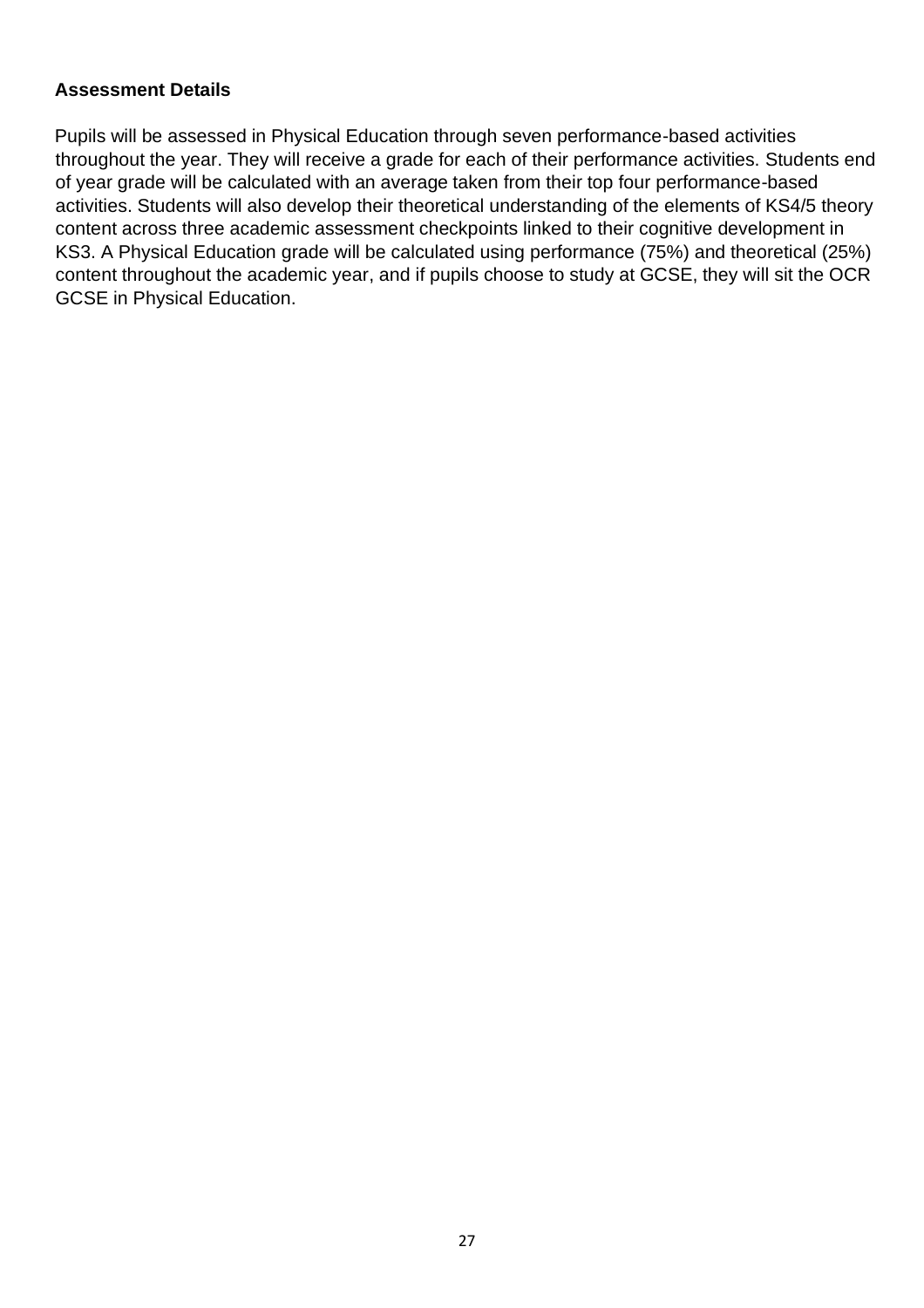Pupils will be assessed in Physical Education through seven performance-based activities throughout the year. They will receive a grade for each of their performance activities. Students end of year grade will be calculated with an average taken from their top four performance-based activities. Students will also develop their theoretical understanding of the elements of KS4/5 theory content across three academic assessment checkpoints linked to their cognitive development in KS3. A Physical Education grade will be calculated using performance (75%) and theoretical (25%) content throughout the academic year, and if pupils choose to study at GCSE, they will sit the OCR GCSE in Physical Education.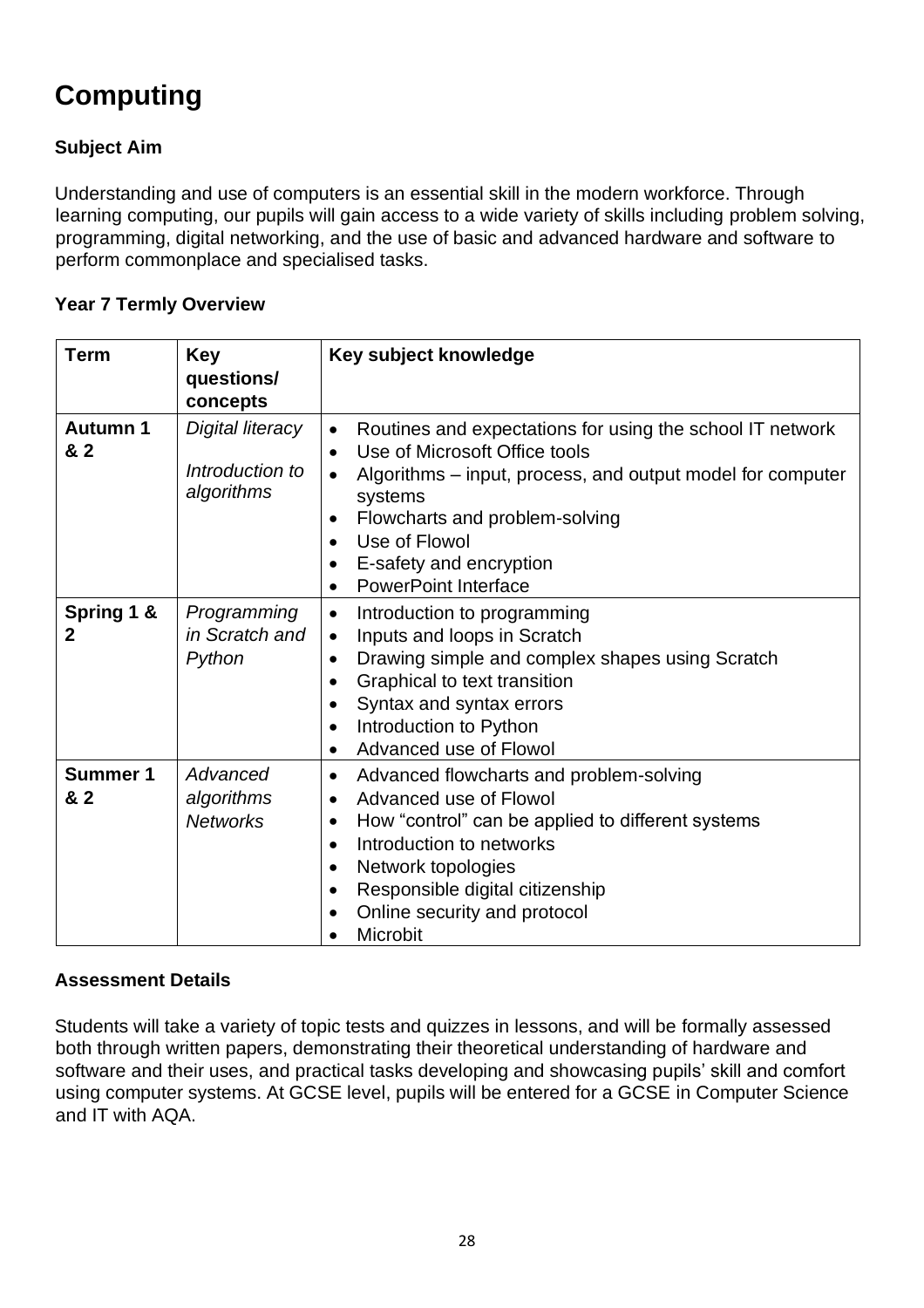# **Computing**

# **Subject Aim**

Understanding and use of computers is an essential skill in the modern workforce. Through learning computing, our pupils will gain access to a wide variety of skills including problem solving, programming, digital networking, and the use of basic and advanced hardware and software to perform commonplace and specialised tasks.

### **Year 7 Termly Overview**

| <b>Term</b>            | <b>Key</b><br>questions/<br>concepts              | Key subject knowledge                                                                                                                                                                                                                                                                                                    |
|------------------------|---------------------------------------------------|--------------------------------------------------------------------------------------------------------------------------------------------------------------------------------------------------------------------------------------------------------------------------------------------------------------------------|
| <b>Autumn 1</b><br>& 2 | Digital literacy<br>Introduction to<br>algorithms | Routines and expectations for using the school IT network<br>Use of Microsoft Office tools<br>$\bullet$<br>Algorithms – input, process, and output model for computer<br>systems<br>Flowcharts and problem-solving<br>$\bullet$<br>Use of Flowol<br>$\bullet$<br>E-safety and encryption<br><b>PowerPoint Interface</b>  |
| Spring 1 &<br>2        | Programming<br>in Scratch and<br>Python           | Introduction to programming<br>$\bullet$<br>Inputs and loops in Scratch<br>$\bullet$<br>Drawing simple and complex shapes using Scratch<br>$\bullet$<br>Graphical to text transition<br>$\bullet$<br>Syntax and syntax errors<br>$\bullet$<br>Introduction to Python<br>Advanced use of Flowol                           |
| <b>Summer 1</b><br>& 2 | Advanced<br>algorithms<br><b>Networks</b>         | Advanced flowcharts and problem-solving<br>$\bullet$<br>Advanced use of Flowol<br>$\bullet$<br>How "control" can be applied to different systems<br>$\bullet$<br>Introduction to networks<br>$\bullet$<br>Network topologies<br>$\bullet$<br>Responsible digital citizenship<br>Online security and protocol<br>Microbit |

### **Assessment Details**

Students will take a variety of topic tests and quizzes in lessons, and will be formally assessed both through written papers, demonstrating their theoretical understanding of hardware and software and their uses, and practical tasks developing and showcasing pupils' skill and comfort using computer systems. At GCSE level, pupils will be entered for a GCSE in Computer Science and IT with AQA.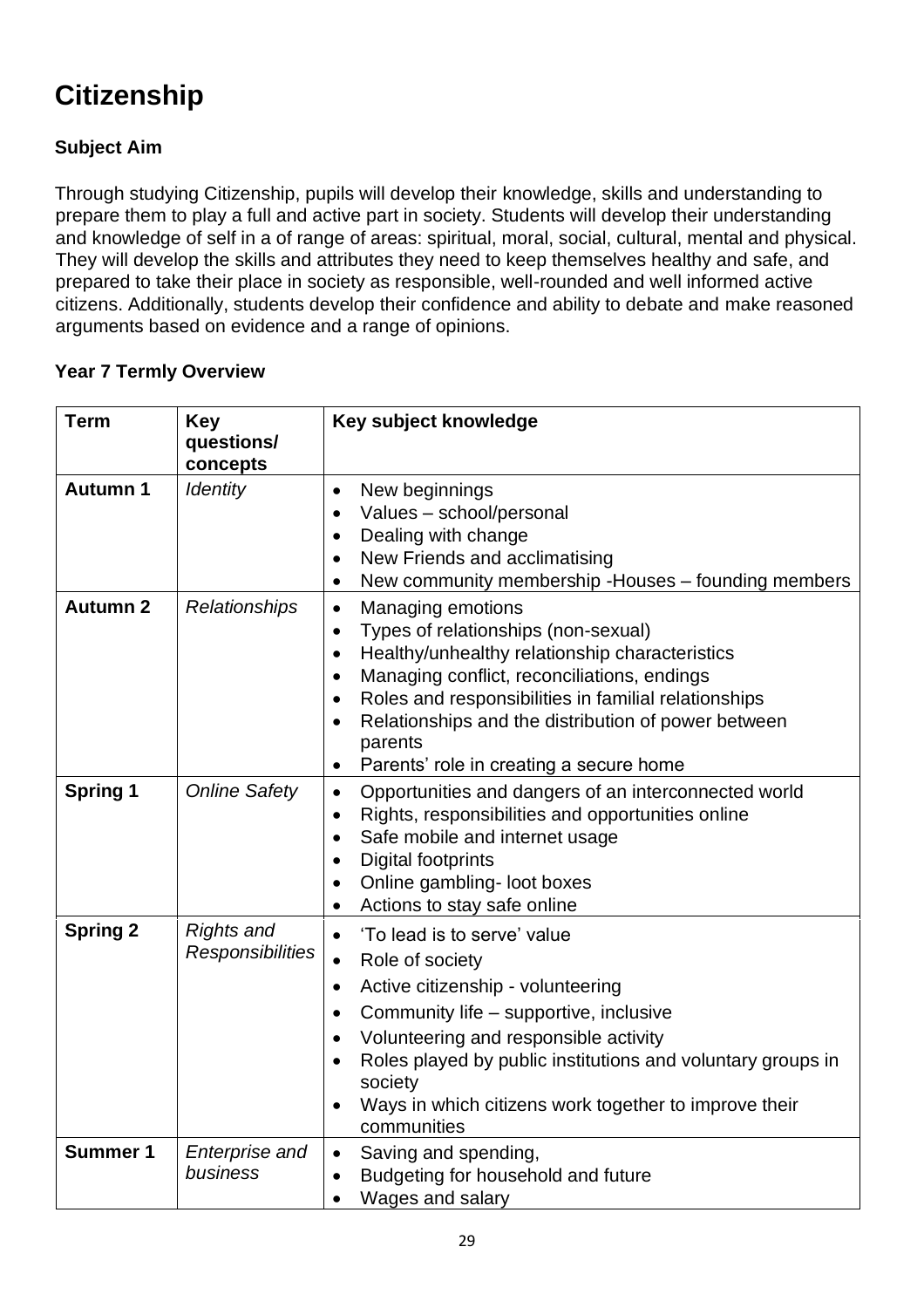# **Citizenship**

# **Subject Aim**

Through studying Citizenship, pupils will develop their knowledge, skills and understanding to prepare them to play a full and active part in society. Students will develop their understanding and knowledge of self in a of range of areas: spiritual, moral, social, cultural, mental and physical. They will develop the skills and attributes they need to keep themselves healthy and safe, and prepared to take their place in society as responsible, well-rounded and well informed active citizens. Additionally, students develop their confidence and ability to debate and make reasoned arguments based on evidence and a range of opinions.

| <b>Term</b>     | <b>Key</b>                                   | Key subject knowledge                                                                                                                                                                                                                                                                                                                                                                                                            |
|-----------------|----------------------------------------------|----------------------------------------------------------------------------------------------------------------------------------------------------------------------------------------------------------------------------------------------------------------------------------------------------------------------------------------------------------------------------------------------------------------------------------|
|                 | questions/<br>concepts                       |                                                                                                                                                                                                                                                                                                                                                                                                                                  |
| <b>Autumn 1</b> | <b>Identity</b>                              | New beginnings<br>$\bullet$<br>Values - school/personal<br>$\bullet$<br>Dealing with change<br>$\bullet$<br>New Friends and acclimatising<br>$\bullet$<br>New community membership - Houses - founding members<br>$\bullet$                                                                                                                                                                                                      |
| <b>Autumn 2</b> | Relationships                                | <b>Managing emotions</b><br>$\bullet$<br>Types of relationships (non-sexual)<br>$\bullet$<br>Healthy/unhealthy relationship characteristics<br>$\bullet$<br>Managing conflict, reconciliations, endings<br>$\bullet$<br>Roles and responsibilities in familial relationships<br>$\bullet$<br>Relationships and the distribution of power between<br>$\bullet$<br>parents<br>Parents' role in creating a secure home<br>$\bullet$ |
| <b>Spring 1</b> | <b>Online Safety</b>                         | Opportunities and dangers of an interconnected world<br>$\bullet$<br>Rights, responsibilities and opportunities online<br>$\bullet$<br>Safe mobile and internet usage<br>$\bullet$<br><b>Digital footprints</b><br>$\bullet$<br>Online gambling- loot boxes<br>$\bullet$<br>Actions to stay safe online<br>$\bullet$                                                                                                             |
| <b>Spring 2</b> | <b>Rights and</b><br><b>Responsibilities</b> | 'To lead is to serve' value<br>$\bullet$<br>Role of society<br>$\bullet$<br>Active citizenship - volunteering<br>$\bullet$<br>Community life - supportive, inclusive<br>$\bullet$<br>Volunteering and responsible activity<br>$\bullet$<br>Roles played by public institutions and voluntary groups in<br>$\bullet$<br>society<br>Ways in which citizens work together to improve their<br>communities                           |
| <b>Summer 1</b> | <b>Enterprise and</b><br>business            | Saving and spending,<br>$\bullet$<br>Budgeting for household and future<br>$\bullet$<br>Wages and salary<br>$\bullet$                                                                                                                                                                                                                                                                                                            |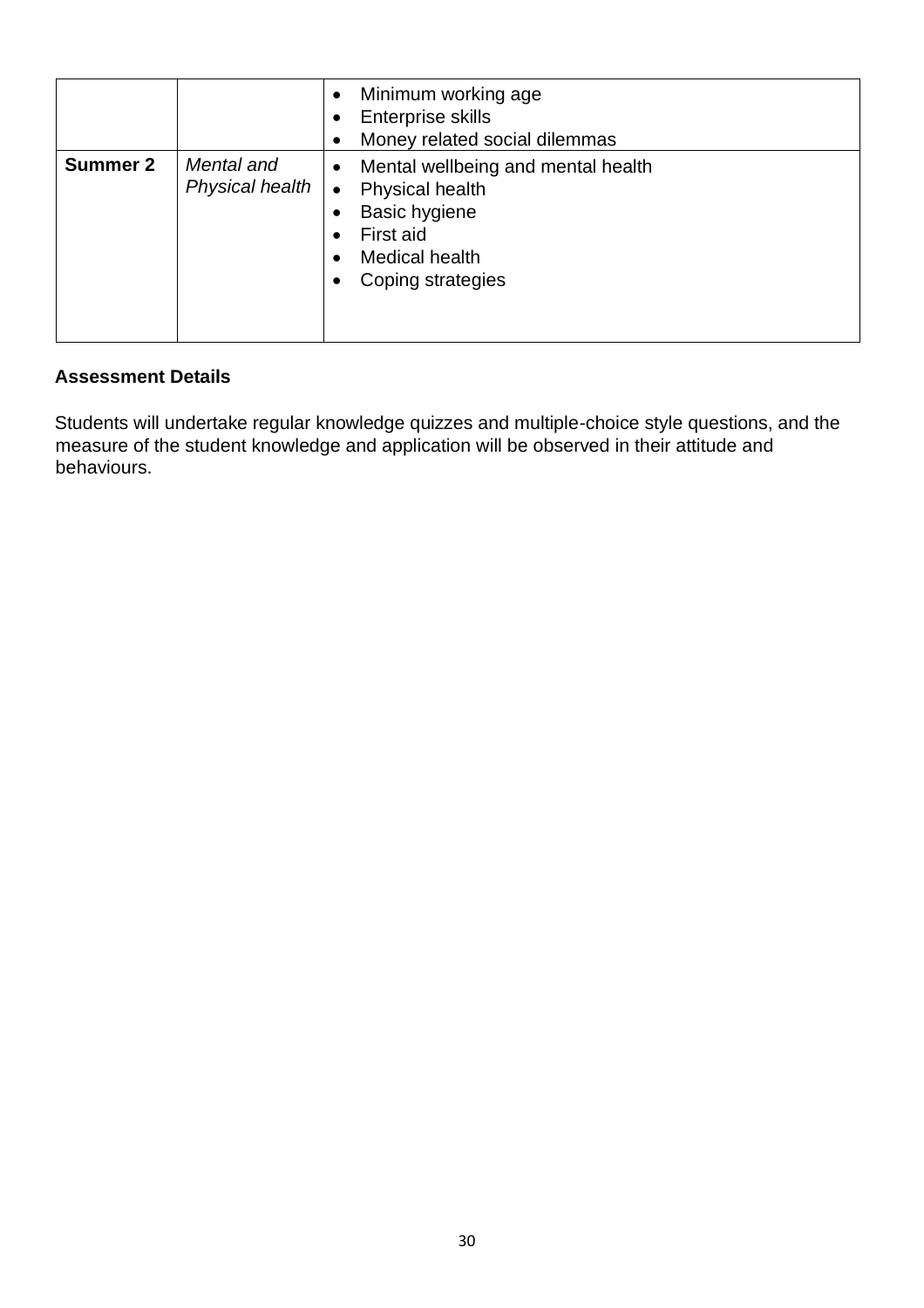|                 |                               | Minimum working age<br>$\bullet$<br>Enterprise skills<br>$\bullet$<br>Money related social dilemmas<br>$\bullet$                                                                            |
|-----------------|-------------------------------|---------------------------------------------------------------------------------------------------------------------------------------------------------------------------------------------|
| <b>Summer 2</b> | Mental and<br>Physical health | Mental wellbeing and mental health<br>$\bullet$<br><b>Physical health</b><br>$\bullet$<br><b>Basic hygiene</b><br>First aid<br><b>Medical health</b><br>$\bullet$<br>Coping strategies<br>٠ |

Students will undertake regular knowledge quizzes and multiple-choice style questions, and the measure of the student knowledge and application will be observed in their attitude and behaviours.